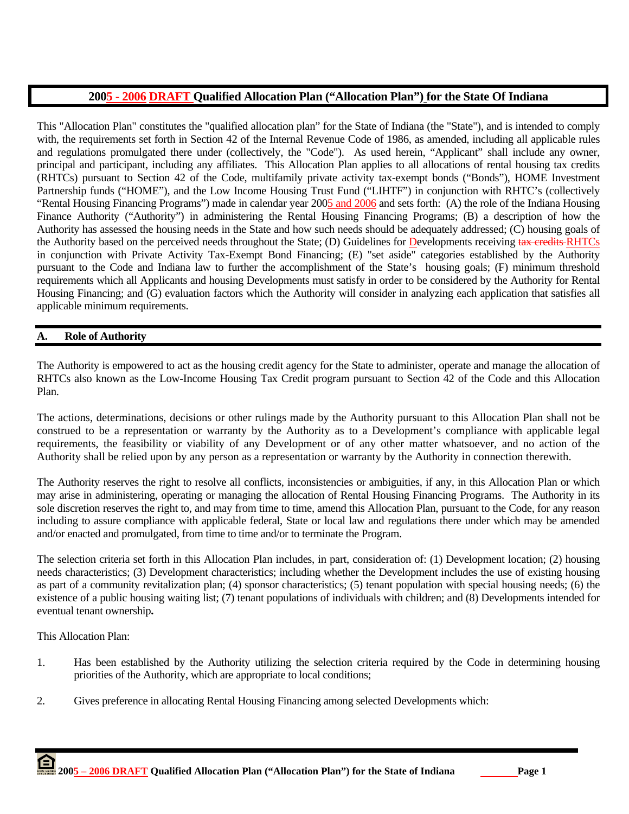# **2005 - 2006 DRAFT Qualified Allocation Plan ("Allocation Plan") for the State Of Indiana**

This "Allocation Plan" constitutes the "qualified allocation plan" for the State of Indiana (the "State"), and is intended to comply with, the requirements set forth in Section 42 of the Internal Revenue Code of 1986, as amended, including all applicable rules and regulations promulgated there under (collectively, the "Code"). As used herein, "Applicant" shall include any owner, principal and participant, including any affiliates. This Allocation Plan applies to all allocations of rental housing tax credits (RHTCs) pursuant to Section 42 of the Code, multifamily private activity tax-exempt bonds ("Bonds"), HOME Investment Partnership funds ("HOME"), and the Low Income Housing Trust Fund ("LIHTF") in conjunction with RHTC's (collectively "Rental Housing Financing Programs") made in calendar year 2005 and 2006 and sets forth: (A) the role of the Indiana Housing Finance Authority ("Authority") in administering the Rental Housing Financing Programs; (B) a description of how the Authority has assessed the housing needs in the State and how such needs should be adequately addressed; (C) housing goals of the Authority based on the perceived needs throughout the State; (D) Guidelines for Developments receiving tax credits RHTCs in conjunction with Private Activity Tax-Exempt Bond Financing; (E) "set aside" categories established by the Authority pursuant to the Code and Indiana law to further the accomplishment of the State's housing goals; (F) minimum threshold requirements which all Applicants and housing Developments must satisfy in order to be considered by the Authority for Rental Housing Financing; and (G) evaluation factors which the Authority will consider in analyzing each application that satisfies all applicable minimum requirements.

# **A. Role of Authority**

The Authority is empowered to act as the housing credit agency for the State to administer, operate and manage the allocation of RHTCs also known as the Low-Income Housing Tax Credit program pursuant to Section 42 of the Code and this Allocation Plan.

The actions, determinations, decisions or other rulings made by the Authority pursuant to this Allocation Plan shall not be construed to be a representation or warranty by the Authority as to a Development's compliance with applicable legal requirements, the feasibility or viability of any Development or of any other matter whatsoever, and no action of the Authority shall be relied upon by any person as a representation or warranty by the Authority in connection therewith.

The Authority reserves the right to resolve all conflicts, inconsistencies or ambiguities, if any, in this Allocation Plan or which may arise in administering, operating or managing the allocation of Rental Housing Financing Programs. The Authority in its sole discretion reserves the right to, and may from time to time, amend this Allocation Plan, pursuant to the Code, for any reason including to assure compliance with applicable federal, State or local law and regulations there under which may be amended and/or enacted and promulgated, from time to time and/or to terminate the Program.

The selection criteria set forth in this Allocation Plan includes, in part, consideration of: (1) Development location; (2) housing needs characteristics; (3) Development characteristics; including whether the Development includes the use of existing housing as part of a community revitalization plan; (4) sponsor characteristics; (5) tenant population with special housing needs; (6) the existence of a public housing waiting list; (7) tenant populations of individuals with children; and (8) Developments intended for eventual tenant ownership**.** 

This Allocation Plan:

- 1. Has been established by the Authority utilizing the selection criteria required by the Code in determining housing priorities of the Authority, which are appropriate to local conditions;
- 2. Gives preference in allocating Rental Housing Financing among selected Developments which: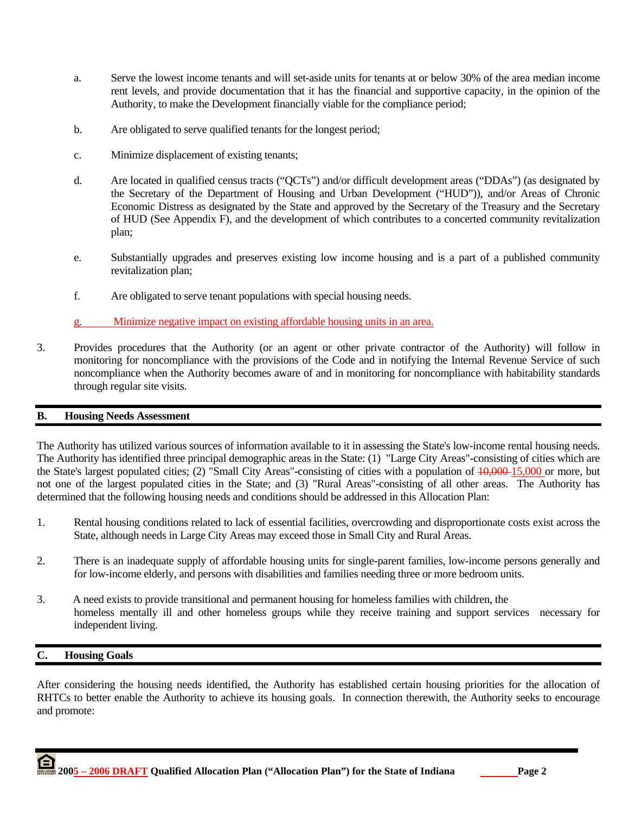- a. Serve the lowest income tenants and will set-aside units for tenants at or below 30% of the area median income rent levels, and provide documentation that it has the financial and supportive capacity, in the opinion of the Authority, to make the Development financially viable for the compliance period;
- b. Are obligated to serve qualified tenants for the longest period;
- c. Minimize displacement of existing tenants;
- d. Are located in qualified census tracts ("QCTs") and/or difficult development areas ("DDAs") (as designated by the Secretary of the Department of Housing and Urban Development ("HUD")), and/or Areas of Chronic Economic Distress as designated by the State and approved by the Secretary of the Treasury and the Secretary of HUD (See Appendix F), and the development of which contributes to a concerted community revitalization plan;
- e. Substantially upgrades and preserves existing low income housing and is a part of a published community revitalization plan;
- f. Are obligated to serve tenant populations with special housing needs.
- g. Minimize negative impact on existing affordable housing units in an area.
- 3. Provides procedures that the Authority (or an agent or other private contractor of the Authority) will follow in monitoring for noncompliance with the provisions of the Code and in notifying the Internal Revenue Service of such noncompliance when the Authority becomes aware of and in monitoring for noncompliance with habitability standards through regular site visits.

### **B. Housing Needs Assessment**

The Authority has utilized various sources of information available to it in assessing the State's low-income rental housing needs. The Authority has identified three principal demographic areas in the State: (1) "Large City Areas"-consisting of cities which are the State's largest populated cities; (2) "Small City Areas"-consisting of cities with a population of  $\frac{10,000}{15,000}$  or more, but not one of the largest populated cities in the State; and (3) "Rural Areas"-consisting of all other areas. The Authority has determined that the following housing needs and conditions should be addressed in this Allocation Plan:

- 1. Rental housing conditions related to lack of essential facilities, overcrowding and disproportionate costs exist across the State, although needs in Large City Areas may exceed those in Small City and Rural Areas.
- 2. There is an inadequate supply of affordable housing units for single-parent families, low-income persons generally and for low-income elderly, and persons with disabilities and families needing three or more bedroom units.
- 3. A need exists to provide transitional and permanent housing for homeless families with children, the homeless mentally ill and other homeless groups while they receive training and support services necessary for independent living.

### **C. Housing Goals**

After considering the housing needs identified, the Authority has established certain housing priorities for the allocation of RHTCs to better enable the Authority to achieve its housing goals. In connection therewith, the Authority seeks to encourage and promote:

 **2005 – 2006 DRAFT Qualified Allocation Plan ("Allocation Plan") for the State of Indiana Page 2**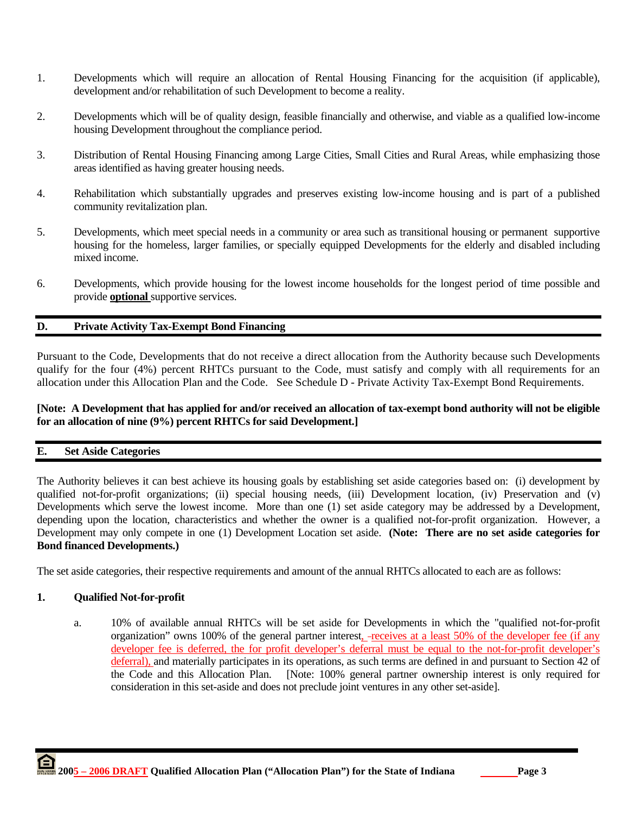- 1. Developments which will require an allocation of Rental Housing Financing for the acquisition (if applicable), development and/or rehabilitation of such Development to become a reality.
- 2. Developments which will be of quality design, feasible financially and otherwise, and viable as a qualified low-income housing Development throughout the compliance period.
- 3. Distribution of Rental Housing Financing among Large Cities, Small Cities and Rural Areas, while emphasizing those areas identified as having greater housing needs.
- 4. Rehabilitation which substantially upgrades and preserves existing low-income housing and is part of a published community revitalization plan.
- 5. Developments, which meet special needs in a community or area such as transitional housing or permanent supportive housing for the homeless, larger families, or specially equipped Developments for the elderly and disabled including mixed income.
- 6. Developments, which provide housing for the lowest income households for the longest period of time possible and provide **optional** supportive services.

# **D. Private Activity Tax-Exempt Bond Financing**

Pursuant to the Code, Developments that do not receive a direct allocation from the Authority because such Developments qualify for the four (4%) percent RHTCs pursuant to the Code, must satisfy and comply with all requirements for an allocation under this Allocation Plan and the Code. See Schedule D - Private Activity Tax-Exempt Bond Requirements.

# **[Note: A Development that has applied for and/or received an allocation of tax-exempt bond authority will not be eligible for an allocation of nine (9%) percent RHTCs for said Development.]**

### **E. Set Aside Categories**

The Authority believes it can best achieve its housing goals by establishing set aside categories based on: (i) development by qualified not-for-profit organizations; (ii) special housing needs, (iii) Development location, (iv) Preservation and (v) Developments which serve the lowest income. More than one (1) set aside category may be addressed by a Development, depending upon the location, characteristics and whether the owner is a qualified not-for-profit organization. However, a Development may only compete in one (1) Development Location set aside. **(Note: There are no set aside categories for Bond financed Developments.)**

The set aside categories, their respective requirements and amount of the annual RHTCs allocated to each are as follows:

### **1. Qualified Not-for-profit**

 a. 10% of available annual RHTCs will be set aside for Developments in which the "qualified not-for-profit organization" owns 100% of the general partner interest, -receives at a least 50% of the developer fee (if any developer fee is deferred, the for profit developer's deferral must be equal to the not-for-profit developer's deferral), and materially participates in its operations, as such terms are defined in and pursuant to Section 42 of the Code and this Allocation Plan. [Note: 100% general partner ownership interest is only required for consideration in this set-aside and does not preclude joint ventures in any other set-aside].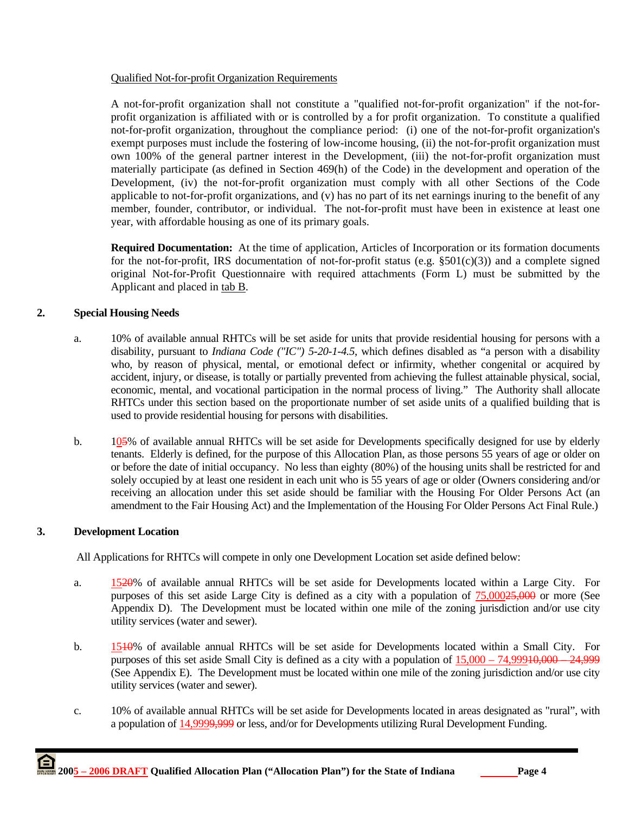# Qualified Not-for-profit Organization Requirements

A not-for-profit organization shall not constitute a "qualified not-for-profit organization" if the not-forprofit organization is affiliated with or is controlled by a for profit organization. To constitute a qualified not-for-profit organization, throughout the compliance period: (i) one of the not-for-profit organization's exempt purposes must include the fostering of low-income housing, (ii) the not-for-profit organization must own 100% of the general partner interest in the Development, (iii) the not-for-profit organization must materially participate (as defined in Section 469(h) of the Code) in the development and operation of the Development, (iv) the not-for-profit organization must comply with all other Sections of the Code applicable to not-for-profit organizations, and (v) has no part of its net earnings inuring to the benefit of any member, founder, contributor, or individual. The not-for-profit must have been in existence at least one year, with affordable housing as one of its primary goals.

**Required Documentation:** At the time of application, Articles of Incorporation or its formation documents for the not-for-profit, IRS documentation of not-for-profit status (e.g.  $\S501(c)(3)$ ) and a complete signed original Not-for-Profit Questionnaire with required attachments (Form L) must be submitted by the Applicant and placed in tab B.

# **2. Special Housing Needs**

- a. 10% of available annual RHTCs will be set aside for units that provide residential housing for persons with a disability, pursuant to *Indiana Code ("IC") 5-20-1-4.5*, which defines disabled as "a person with a disability who, by reason of physical, mental, or emotional defect or infirmity, whether congenital or acquired by accident, injury, or disease, is totally or partially prevented from achieving the fullest attainable physical, social, economic, mental, and vocational participation in the normal process of living." The Authority shall allocate RHTCs under this section based on the proportionate number of set aside units of a qualified building that is used to provide residential housing for persons with disabilities.
- b. 105% of available annual RHTCs will be set aside for Developments specifically designed for use by elderly tenants. Elderly is defined, for the purpose of this Allocation Plan, as those persons 55 years of age or older on or before the date of initial occupancy. No less than eighty (80%) of the housing units shall be restricted for and solely occupied by at least one resident in each unit who is 55 years of age or older (Owners considering and/or receiving an allocation under this set aside should be familiar with the Housing For Older Persons Act (an amendment to the Fair Housing Act) and the Implementation of the Housing For Older Persons Act Final Rule.)

# **3. Development Location**

All Applications for RHTCs will compete in only one Development Location set aside defined below:

- a. 1520% of available annual RHTCs will be set aside for Developments located within a Large City. For purposes of this set aside Large City is defined as a city with a population of 75,00025,000 or more (See Appendix D). The Development must be located within one mile of the zoning jurisdiction and/or use city utility services (water and sewer).
- b. 1510% of available annual RHTCs will be set aside for Developments located within a Small City. For purposes of this set aside Small City is defined as a city with a population of  $15,000 - 74,99910,000 - 24,999$ (See Appendix E). The Development must be located within one mile of the zoning jurisdiction and/or use city utility services (water and sewer).
- c. 10% of available annual RHTCs will be set aside for Developments located in areas designated as "rural", with a population of 14,9999,999 or less, and/or for Developments utilizing Rural Development Funding.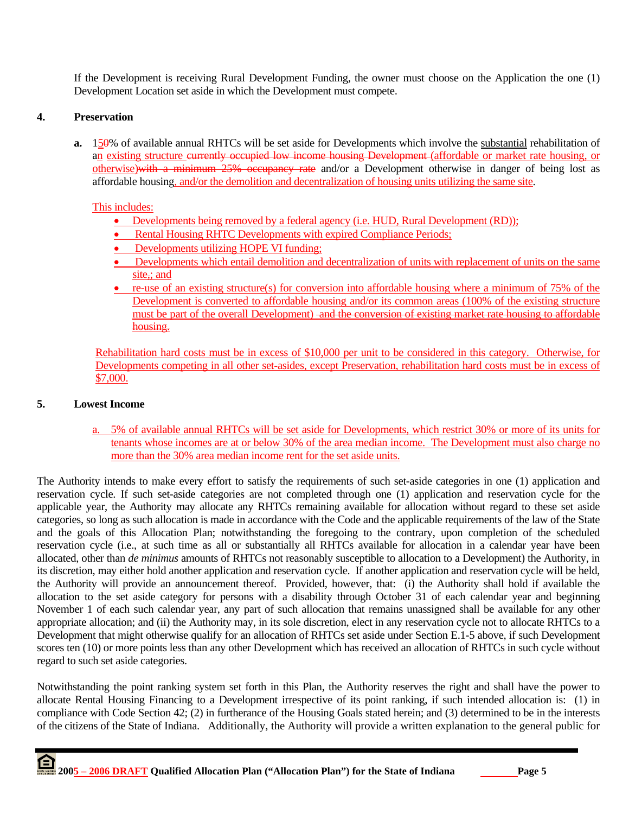If the Development is receiving Rural Development Funding, the owner must choose on the Application the one (1) Development Location set aside in which the Development must compete.

# **4. Preservation**

**a.** 150% of available annual RHTCs will be set aside for Developments which involve the substantial rehabilitation of an existing structure eurrently occupied low income housing Development (affordable or market rate housing, or otherwise)with a minimum 25% occupancy rate and/or a Development otherwise in danger of being lost as affordable housing, and/or the demolition and decentralization of housing units utilizing the same site.

### This includes:

- Developments being removed by a federal agency (i.e. HUD, Rural Development (RD));
- Rental Housing RHTC Developments with expired Compliance Periods;
- Developments utilizing HOPE VI funding;
- Developments which entail demolition and decentralization of units with replacement of units on the same site<sub>i</sub>; and
- re-use of an existing structure(s) for conversion into affordable housing where a minimum of 75% of the Development is converted to affordable housing and/or its common areas (100% of the existing structure must be part of the overall Development) and the conversion of existing market rate housing to affordable housing.

Rehabilitation hard costs must be in excess of \$10,000 per unit to be considered in this category. Otherwise, for Developments competing in all other set-asides, except Preservation, rehabilitation hard costs must be in excess of \$7,000.

#### **5. Lowest Income**

a. 5% of available annual RHTCs will be set aside for Developments, which restrict 30% or more of its units for tenants whose incomes are at or below 30% of the area median income. The Development must also charge no more than the 30% area median income rent for the set aside units.

The Authority intends to make every effort to satisfy the requirements of such set-aside categories in one (1) application and reservation cycle. If such set-aside categories are not completed through one (1) application and reservation cycle for the applicable year, the Authority may allocate any RHTCs remaining available for allocation without regard to these set aside categories, so long as such allocation is made in accordance with the Code and the applicable requirements of the law of the State and the goals of this Allocation Plan; notwithstanding the foregoing to the contrary, upon completion of the scheduled reservation cycle (i.e., at such time as all or substantially all RHTCs available for allocation in a calendar year have been allocated, other than *de minimus* amounts of RHTCs not reasonably susceptible to allocation to a Development) the Authority, in its discretion, may either hold another application and reservation cycle. If another application and reservation cycle will be held, the Authority will provide an announcement thereof. Provided, however, that: (i) the Authority shall hold if available the allocation to the set aside category for persons with a disability through October 31 of each calendar year and beginning November 1 of each such calendar year, any part of such allocation that remains unassigned shall be available for any other appropriate allocation; and (ii) the Authority may, in its sole discretion, elect in any reservation cycle not to allocate RHTCs to a Development that might otherwise qualify for an allocation of RHTCs set aside under Section E.1-5 above, if such Development scores ten (10) or more points less than any other Development which has received an allocation of RHTCs in such cycle without regard to such set aside categories.

Notwithstanding the point ranking system set forth in this Plan, the Authority reserves the right and shall have the power to allocate Rental Housing Financing to a Development irrespective of its point ranking, if such intended allocation is: (1) in compliance with Code Section 42; (2) in furtherance of the Housing Goals stated herein; and (3) determined to be in the interests of the citizens of the State of Indiana. Additionally, the Authority will provide a written explanation to the general public for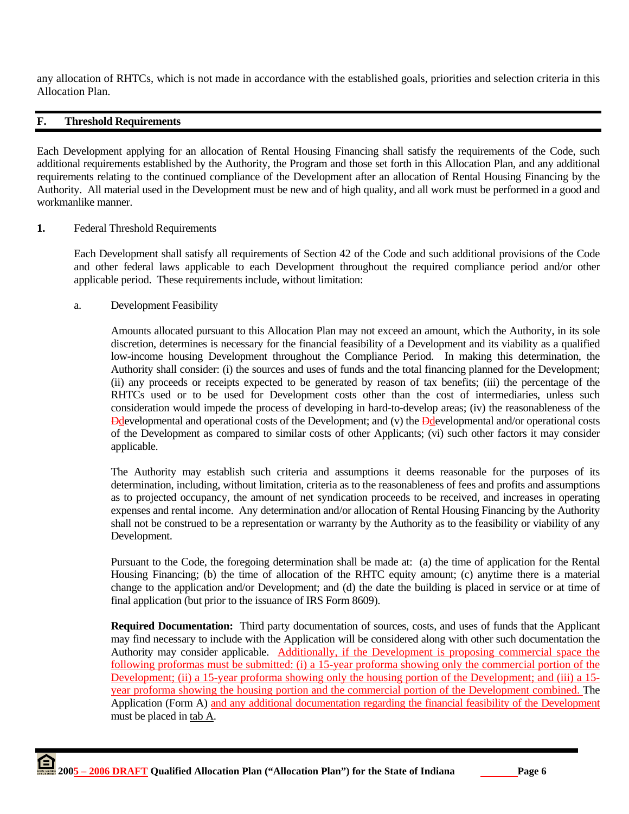any allocation of RHTCs, which is not made in accordance with the established goals, priorities and selection criteria in this Allocation Plan.

# **F. Threshold Requirements**

Each Development applying for an allocation of Rental Housing Financing shall satisfy the requirements of the Code, such additional requirements established by the Authority, the Program and those set forth in this Allocation Plan, and any additional requirements relating to the continued compliance of the Development after an allocation of Rental Housing Financing by the Authority. All material used in the Development must be new and of high quality, and all work must be performed in a good and workmanlike manner.

#### **1.** Federal Threshold Requirements

 Each Development shall satisfy all requirements of Section 42 of the Code and such additional provisions of the Code and other federal laws applicable to each Development throughout the required compliance period and/or other applicable period. These requirements include, without limitation:

a. Development Feasibility

 Amounts allocated pursuant to this Allocation Plan may not exceed an amount, which the Authority, in its sole discretion, determines is necessary for the financial feasibility of a Development and its viability as a qualified low-income housing Development throughout the Compliance Period. In making this determination, the Authority shall consider: (i) the sources and uses of funds and the total financing planned for the Development; (ii) any proceeds or receipts expected to be generated by reason of tax benefits; (iii) the percentage of the RHTCs used or to be used for Development costs other than the cost of intermediaries, unless such consideration would impede the process of developing in hard-to-develop areas; (iv) the reasonableness of the Ddevelopmental and operational costs of the Development; and (v) the Ddevelopmental and/or operational costs of the Development as compared to similar costs of other Applicants; (vi) such other factors it may consider applicable.

 The Authority may establish such criteria and assumptions it deems reasonable for the purposes of its determination, including, without limitation, criteria as to the reasonableness of fees and profits and assumptions as to projected occupancy, the amount of net syndication proceeds to be received, and increases in operating expenses and rental income. Any determination and/or allocation of Rental Housing Financing by the Authority shall not be construed to be a representation or warranty by the Authority as to the feasibility or viability of any Development.

 Pursuant to the Code, the foregoing determination shall be made at: (a) the time of application for the Rental Housing Financing; (b) the time of allocation of the RHTC equity amount; (c) anytime there is a material change to the application and/or Development; and (d) the date the building is placed in service or at time of final application (but prior to the issuance of IRS Form 8609).

**Required Documentation:** Third party documentation of sources, costs, and uses of funds that the Applicant may find necessary to include with the Application will be considered along with other such documentation the Authority may consider applicable. Additionally, if the Development is proposing commercial space the following proformas must be submitted: (i) a 15-year proforma showing only the commercial portion of the Development; (ii) a 15-year proforma showing only the housing portion of the Development; and (iii) a 15 year proforma showing the housing portion and the commercial portion of the Development combined. The Application (Form A) and any additional documentation regarding the financial feasibility of the Development must be placed in tab A.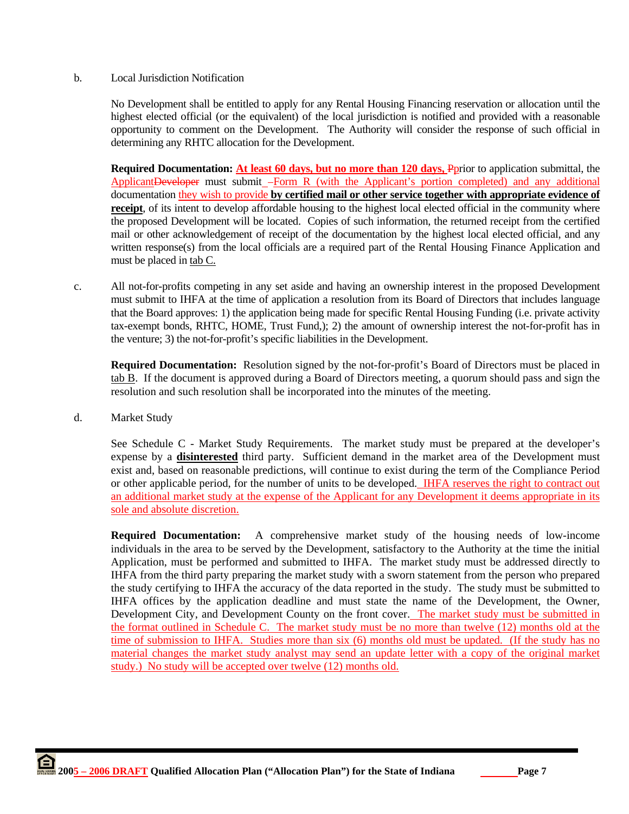#### b. Local Jurisdiction Notification

 No Development shall be entitled to apply for any Rental Housing Financing reservation or allocation until the highest elected official (or the equivalent) of the local jurisdiction is notified and provided with a reasonable opportunity to comment on the Development. The Authority will consider the response of such official in determining any RHTC allocation for the Development.

**Required Documentation: At least 60 days, but no more than 120 days, Pprior to application submittal, the** ApplicantDeveloper must submit -Form R (with the Applicant's portion completed) and any additional documentation they wish to provide **by certified mail or other service together with appropriate evidence of receipt**, of its intent to develop affordable housing to the highest local elected official in the community where the proposed Development will be located. Copies of such information, the returned receipt from the certified mail or other acknowledgement of receipt of the documentation by the highest local elected official, and any written response(s) from the local officials are a required part of the Rental Housing Finance Application and must be placed in tab C.

c. All not-for-profits competing in any set aside and having an ownership interest in the proposed Development must submit to IHFA at the time of application a resolution from its Board of Directors that includes language that the Board approves: 1) the application being made for specific Rental Housing Funding (i.e. private activity tax-exempt bonds, RHTC, HOME, Trust Fund,); 2) the amount of ownership interest the not-for-profit has in the venture; 3) the not-for-profit's specific liabilities in the Development.

**Required Documentation:** Resolution signed by the not-for-profit's Board of Directors must be placed in tab B. If the document is approved during a Board of Directors meeting, a quorum should pass and sign the resolution and such resolution shall be incorporated into the minutes of the meeting.

d. Market Study

See Schedule C - Market Study Requirements. The market study must be prepared at the developer's expense by a **disinterested** third party. Sufficient demand in the market area of the Development must exist and, based on reasonable predictions, will continue to exist during the term of the Compliance Period or other applicable period, for the number of units to be developed. IHFA reserves the right to contract out an additional market study at the expense of the Applicant for any Development it deems appropriate in its sole and absolute discretion.

**Required Documentation:** A comprehensive market study of the housing needs of low-income individuals in the area to be served by the Development, satisfactory to the Authority at the time the initial Application, must be performed and submitted to IHFA. The market study must be addressed directly to IHFA from the third party preparing the market study with a sworn statement from the person who prepared the study certifying to IHFA the accuracy of the data reported in the study. The study must be submitted to IHFA offices by the application deadline and must state the name of the Development, the Owner, Development City, and Development County on the front cover. The market study must be submitted in the format outlined in Schedule C. The market study must be no more than twelve (12) months old at the time of submission to IHFA. Studies more than six (6) months old must be updated. (If the study has no material changes the market study analyst may send an update letter with a copy of the original market study.) No study will be accepted over twelve (12) months old.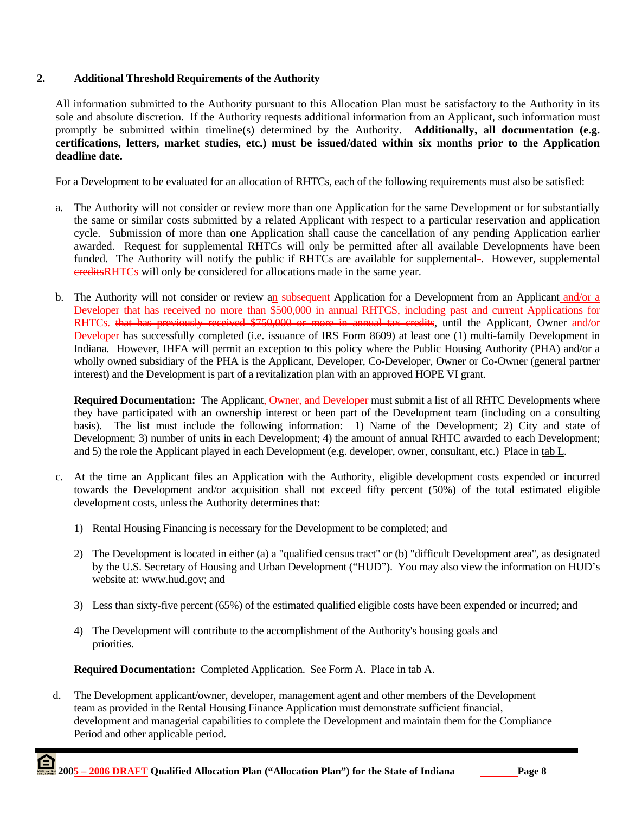# **2. Additional Threshold Requirements of the Authority**

All information submitted to the Authority pursuant to this Allocation Plan must be satisfactory to the Authority in its sole and absolute discretion. If the Authority requests additional information from an Applicant, such information must promptly be submitted within timeline(s) determined by the Authority. **Additionally, all documentation (e.g. certifications, letters, market studies, etc.) must be issued/dated within six months prior to the Application deadline date.**

For a Development to be evaluated for an allocation of RHTCs, each of the following requirements must also be satisfied:

- a. The Authority will not consider or review more than one Application for the same Development or for substantially the same or similar costs submitted by a related Applicant with respect to a particular reservation and application cycle. Submission of more than one Application shall cause the cancellation of any pending Application earlier awarded. Request for supplemental RHTCs will only be permitted after all available Developments have been funded. The Authority will notify the public if RHTCs are available for supplemental-. However, supplemental creditsRHTCs will only be considered for allocations made in the same year.
- b. The Authority will not consider or review an subsequent Application for a Development from an Applicant and/or a Developer that has received no more than  $\overline{$500,000}$  in annual RHTCS, including past and current Applications for RHTCs. that has previously received \$750,000 or more in annual tax credits, until the Applicant, Owner and/or Developer has successfully completed (i.e. issuance of IRS Form 8609) at least one (1) multi-family Development in Indiana. However, IHFA will permit an exception to this policy where the Public Housing Authority (PHA) and/or a wholly owned subsidiary of the PHA is the Applicant, Developer, Co-Developer, Owner or Co-Owner (general partner interest) and the Development is part of a revitalization plan with an approved HOPE VI grant.

**Required Documentation:** The Applicant, Owner, and Developer must submit a list of all RHTC Developments where they have participated with an ownership interest or been part of the Development team (including on a consulting basis). The list must include the following information: 1) Name of the Development; 2) City and state of Development; 3) number of units in each Development; 4) the amount of annual RHTC awarded to each Development; and 5) the role the Applicant played in each Development (e.g. developer, owner, consultant, etc.) Place in tab L.

- c. At the time an Applicant files an Application with the Authority, eligible development costs expended or incurred towards the Development and/or acquisition shall not exceed fifty percent (50%) of the total estimated eligible development costs, unless the Authority determines that:
	- 1) Rental Housing Financing is necessary for the Development to be completed; and
	- 2) The Development is located in either (a) a "qualified census tract" or (b) "difficult Development area", as designated by the U.S. Secretary of Housing and Urban Development ("HUD"). You may also view the information on HUD's website at: www.hud.gov; and
	- 3) Less than sixty-five percent (65%) of the estimated qualified eligible costs have been expended or incurred; and
	- 4) The Development will contribute to the accomplishment of the Authority's housing goals and priorities.

**Required Documentation:** Completed Application. See Form A. Place in tab A.

 d. The Development applicant/owner, developer, management agent and other members of the Development team as provided in the Rental Housing Finance Application must demonstrate sufficient financial, development and managerial capabilities to complete the Development and maintain them for the Compliance Period and other applicable period.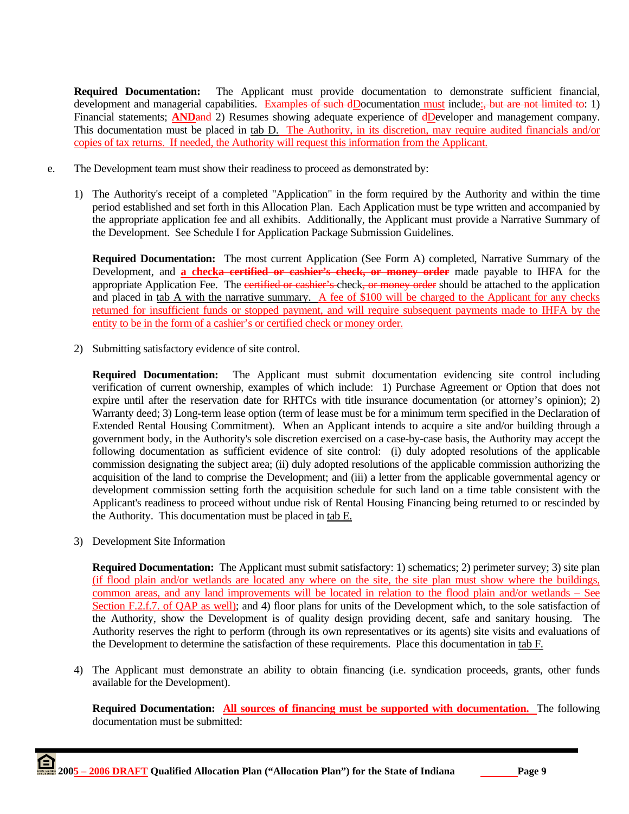**Required Documentation:** The Applicant must provide documentation to demonstrate sufficient financial, development and managerial capabilities. Examples of such dDocumentation must include: but are not limited to: 1) Financial statements; **ANDand** 2) Resumes showing adequate experience of **dDeveloper** and management company. This documentation must be placed in tab D. The Authority, in its discretion, may require audited financials and/or copies of tax returns. If needed, the Authority will request this information from the Applicant.

- e. The Development team must show their readiness to proceed as demonstrated by:
	- 1) The Authority's receipt of a completed "Application" in the form required by the Authority and within the time period established and set forth in this Allocation Plan. Each Application must be type written and accompanied by the appropriate application fee and all exhibits. Additionally, the Applicant must provide a Narrative Summary of the Development. See Schedule I for Application Package Submission Guidelines.

**Required Documentation:** The most current Application (See Form A) completed, Narrative Summary of the Development, and **a checka certified or cashier's check, or money order** made payable to IHFA for the appropriate Application Fee. The certified or cashier's check, or money order should be attached to the application and placed in tab A with the narrative summary. A fee of \$100 will be charged to the Applicant for any checks returned for insufficient funds or stopped payment, and will require subsequent payments made to IHFA by the entity to be in the form of a cashier's or certified check or money order.

2) Submitting satisfactory evidence of site control.

**Required Documentation:** The Applicant must submit documentation evidencing site control including verification of current ownership, examples of which include: 1) Purchase Agreement or Option that does not expire until after the reservation date for RHTCs with title insurance documentation (or attorney's opinion); 2) Warranty deed; 3) Long-term lease option (term of lease must be for a minimum term specified in the Declaration of Extended Rental Housing Commitment). When an Applicant intends to acquire a site and/or building through a government body, in the Authority's sole discretion exercised on a case-by-case basis, the Authority may accept the following documentation as sufficient evidence of site control: (i) duly adopted resolutions of the applicable commission designating the subject area; (ii) duly adopted resolutions of the applicable commission authorizing the acquisition of the land to comprise the Development; and (iii) a letter from the applicable governmental agency or development commission setting forth the acquisition schedule for such land on a time table consistent with the Applicant's readiness to proceed without undue risk of Rental Housing Financing being returned to or rescinded by the Authority. This documentation must be placed in tab E.

3) Development Site Information

**Required Documentation:** The Applicant must submit satisfactory: 1) schematics; 2) perimeter survey; 3) site plan (if flood plain and/or wetlands are located any where on the site, the site plan must show where the buildings, common areas, and any land improvements will be located in relation to the flood plain and/or wetlands – See Section F.2.f.7. of QAP as well); and 4) floor plans for units of the Development which, to the sole satisfaction of the Authority, show the Development is of quality design providing decent, safe and sanitary housing. The Authority reserves the right to perform (through its own representatives or its agents) site visits and evaluations of the Development to determine the satisfaction of these requirements. Place this documentation in tab F.

4) The Applicant must demonstrate an ability to obtain financing (i.e. syndication proceeds, grants, other funds available for the Development).

**Required Documentation: All sources of financing must be supported with documentation.** The following documentation must be submitted: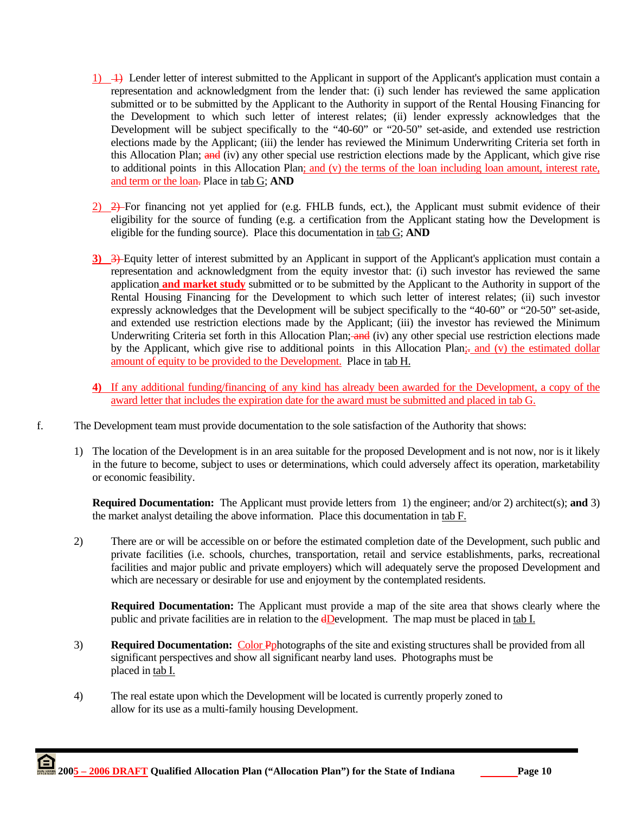- 1)  $\rightarrow$  Lender letter of interest submitted to the Applicant in support of the Applicant's application must contain a representation and acknowledgment from the lender that: (i) such lender has reviewed the same application submitted or to be submitted by the Applicant to the Authority in support of the Rental Housing Financing for the Development to which such letter of interest relates; (ii) lender expressly acknowledges that the Development will be subject specifically to the "40-60" or "20-50" set-aside, and extended use restriction elections made by the Applicant; (iii) the lender has reviewed the Minimum Underwriting Criteria set forth in this Allocation Plan; and (iv) any other special use restriction elections made by the Applicant, which give rise to additional points in this Allocation Plan; and (v) the terms of the loan including loan amount, interest rate, and term or the loan. Place in tab G; **AND**
- 2) 2) For financing not yet applied for (e.g. FHLB funds, ect.), the Applicant must submit evidence of their eligibility for the source of funding (e.g. a certification from the Applicant stating how the Development is eligible for the funding source). Place this documentation in tab G; **AND**
- **3)** 3) Equity letter of interest submitted by an Applicant in support of the Applicant's application must contain a representation and acknowledgment from the equity investor that: (i) such investor has reviewed the same application **and market study** submitted or to be submitted by the Applicant to the Authority in support of the Rental Housing Financing for the Development to which such letter of interest relates; (ii) such investor expressly acknowledges that the Development will be subject specifically to the "40-60" or "20-50" set-aside, and extended use restriction elections made by the Applicant; (iii) the investor has reviewed the Minimum Underwriting Criteria set forth in this Allocation Plan; and (iv) any other special use restriction elections made by the Applicant, which give rise to additional points in this Allocation Plan;- and (v) the estimated dollar amount of equity to be provided to the Development. Place in tab H.
- **4)** If any additional funding/financing of any kind has already been awarded for the Development, a copy of the award letter that includes the expiration date for the award must be submitted and placed in tab G.
- f. The Development team must provide documentation to the sole satisfaction of the Authority that shows:
	- 1) The location of the Development is in an area suitable for the proposed Development and is not now, nor is it likely in the future to become, subject to uses or determinations, which could adversely affect its operation, marketability or economic feasibility.

**Required Documentation:** The Applicant must provide letters from 1) the engineer; and/or 2) architect(s); **and** 3) the market analyst detailing the above information. Place this documentation in tab F.

2) There are or will be accessible on or before the estimated completion date of the Development, such public and private facilities (i.e. schools, churches, transportation, retail and service establishments, parks, recreational facilities and major public and private employers) which will adequately serve the proposed Development and which are necessary or desirable for use and enjoyment by the contemplated residents.

**Required Documentation:** The Applicant must provide a map of the site area that shows clearly where the public and private facilities are in relation to the **dD**evelopment. The map must be placed in tab I.

- 3) **Required Documentation:** Color Pphotographs of the site and existing structures shall be provided from all significant perspectives and show all significant nearby land uses. Photographs must be placed in tab I.
- 4) The real estate upon which the Development will be located is currently properly zoned to allow for its use as a multi-family housing Development.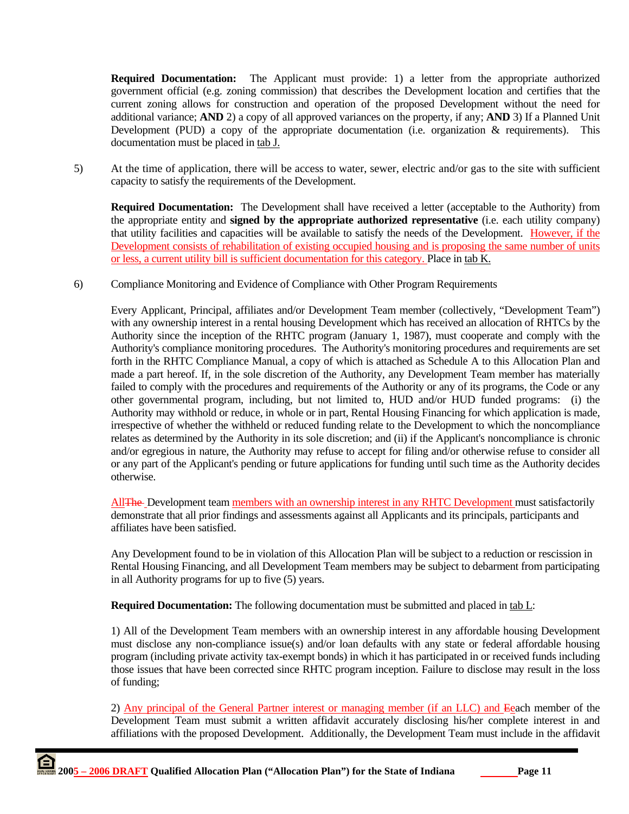**Required Documentation:** The Applicant must provide: 1) a letter from the appropriate authorized government official (e.g. zoning commission) that describes the Development location and certifies that the current zoning allows for construction and operation of the proposed Development without the need for additional variance; **AND** 2) a copy of all approved variances on the property, if any; **AND** 3) If a Planned Unit Development (PUD) a copy of the appropriate documentation (i.e. organization  $\&$  requirements). This documentation must be placed in tab J.

5) At the time of application, there will be access to water, sewer, electric and/or gas to the site with sufficient capacity to satisfy the requirements of the Development.

**Required Documentation:** The Development shall have received a letter (acceptable to the Authority) from the appropriate entity and **signed by the appropriate authorized representative** (i.e. each utility company) that utility facilities and capacities will be available to satisfy the needs of the Development. However, if the Development consists of rehabilitation of existing occupied housing and is proposing the same number of units or less, a current utility bill is sufficient documentation for this category. Place in tab K.

6) Compliance Monitoring and Evidence of Compliance with Other Program Requirements

 Every Applicant, Principal, affiliates and/or Development Team member (collectively, "Development Team") with any ownership interest in a rental housing Development which has received an allocation of RHTCs by the Authority since the inception of the RHTC program (January 1, 1987), must cooperate and comply with the Authority's compliance monitoring procedures. The Authority's monitoring procedures and requirements are set forth in the RHTC Compliance Manual, a copy of which is attached as Schedule A to this Allocation Plan and made a part hereof. If, in the sole discretion of the Authority, any Development Team member has materially failed to comply with the procedures and requirements of the Authority or any of its programs, the Code or any other governmental program, including, but not limited to, HUD and/or HUD funded programs: (i) the Authority may withhold or reduce, in whole or in part, Rental Housing Financing for which application is made, irrespective of whether the withheld or reduced funding relate to the Development to which the noncompliance relates as determined by the Authority in its sole discretion; and (ii) if the Applicant's noncompliance is chronic and/or egregious in nature, the Authority may refuse to accept for filing and/or otherwise refuse to consider all or any part of the Applicant's pending or future applications for funding until such time as the Authority decides otherwise.

All<sup>The</sup> Development team members with an ownership interest in any RHTC Development must satisfactorily demonstrate that all prior findings and assessments against all Applicants and its principals, participants and affiliates have been satisfied.

 Any Development found to be in violation of this Allocation Plan will be subject to a reduction or rescission in Rental Housing Financing, and all Development Team members may be subject to debarment from participating in all Authority programs for up to five (5) years.

**Required Documentation:** The following documentation must be submitted and placed in tab L:

 1) All of the Development Team members with an ownership interest in any affordable housing Development must disclose any non-compliance issue(s) and/or loan defaults with any state or federal affordable housing program (including private activity tax-exempt bonds) in which it has participated in or received funds including those issues that have been corrected since RHTC program inception. Failure to disclose may result in the loss of funding;

 2) Any principal of the General Partner interest or managing member (if an LLC) and Eeach member of the Development Team must submit a written affidavit accurately disclosing his/her complete interest in and affiliations with the proposed Development. Additionally, the Development Team must include in the affidavit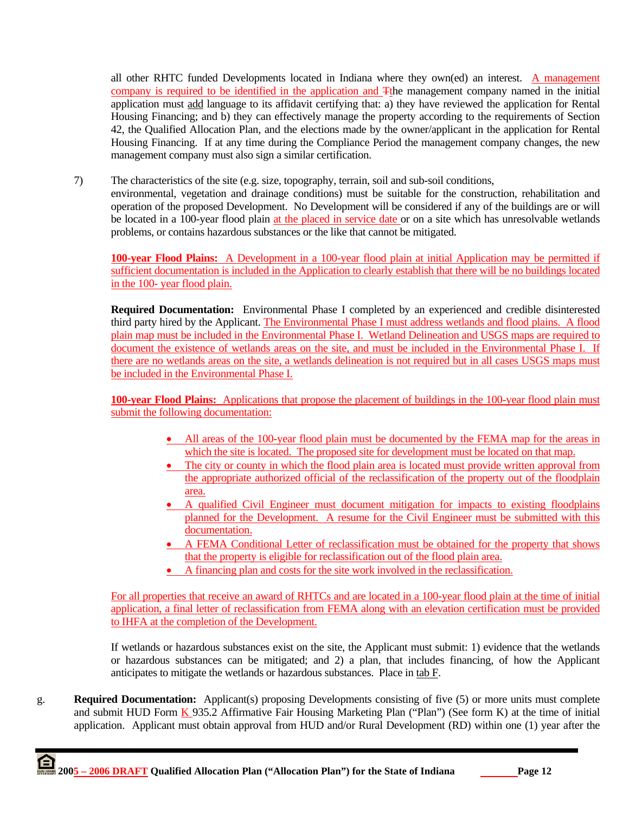all other RHTC funded Developments located in Indiana where they own(ed) an interest. A management company is required to be identified in the application and Tthe management company named in the initial application must add language to its affidavit certifying that: a) they have reviewed the application for Rental Housing Financing; and b) they can effectively manage the property according to the requirements of Section 42, the Qualified Allocation Plan, and the elections made by the owner/applicant in the application for Rental Housing Financing. If at any time during the Compliance Period the management company changes, the new management company must also sign a similar certification.

7) The characteristics of the site (e.g. size, topography, terrain, soil and sub-soil conditions, environmental, vegetation and drainage conditions) must be suitable for the construction, rehabilitation and operation of the proposed Development. No Development will be considered if any of the buildings are or will be located in a 100-year flood plain at the placed in service date or on a site which has unresolvable wetlands problems, or contains hazardous substances or the like that cannot be mitigated.

**100-year Flood Plains:** A Development in a 100-year flood plain at initial Application may be permitted if sufficient documentation is included in the Application to clearly establish that there will be no buildings located in the 100- year flood plain.

**Required Documentation:** Environmental Phase I completed by an experienced and credible disinterested third party hired by the Applicant. The Environmental Phase I must address wetlands and flood plains. A flood plain map must be included in the Environmental Phase I. Wetland Delineation and USGS maps are required to document the existence of wetlands areas on the site, and must be included in the Environmental Phase I. If there are no wetlands areas on the site, a wetlands delineation is not required but in all cases USGS maps must be included in the Environmental Phase I.

**100-year Flood Plains:** Applications that propose the placement of buildings in the 100-year flood plain must submit the following documentation:

- All areas of the 100-year flood plain must be documented by the FEMA map for the areas in which the site is located. The proposed site for development must be located on that map.
- The city or county in which the flood plain area is located must provide written approval from the appropriate authorized official of the reclassification of the property out of the floodplain area.
- A qualified Civil Engineer must document mitigation for impacts to existing floodplains planned for the Development. A resume for the Civil Engineer must be submitted with this documentation.
- A FEMA Conditional Letter of reclassification must be obtained for the property that shows that the property is eligible for reclassification out of the flood plain area.
- A financing plan and costs for the site work involved in the reclassification.

For all properties that receive an award of RHTCs and are located in a 100-year flood plain at the time of initial application, a final letter of reclassification from FEMA along with an elevation certification must be provided to IHFA at the completion of the Development.

If wetlands or hazardous substances exist on the site, the Applicant must submit: 1) evidence that the wetlands or hazardous substances can be mitigated; and 2) a plan, that includes financing, of how the Applicant anticipates to mitigate the wetlands or hazardous substances. Place in tab F.

g. **Required Documentation:** Applicant(s) proposing Developments consisting of five (5) or more units must complete and submit HUD Form  $K$  935.2 Affirmative Fair Housing Marketing Plan ("Plan") (See form K) at the time of initial application. Applicant must obtain approval from HUD and/or Rural Development (RD) within one (1) year after the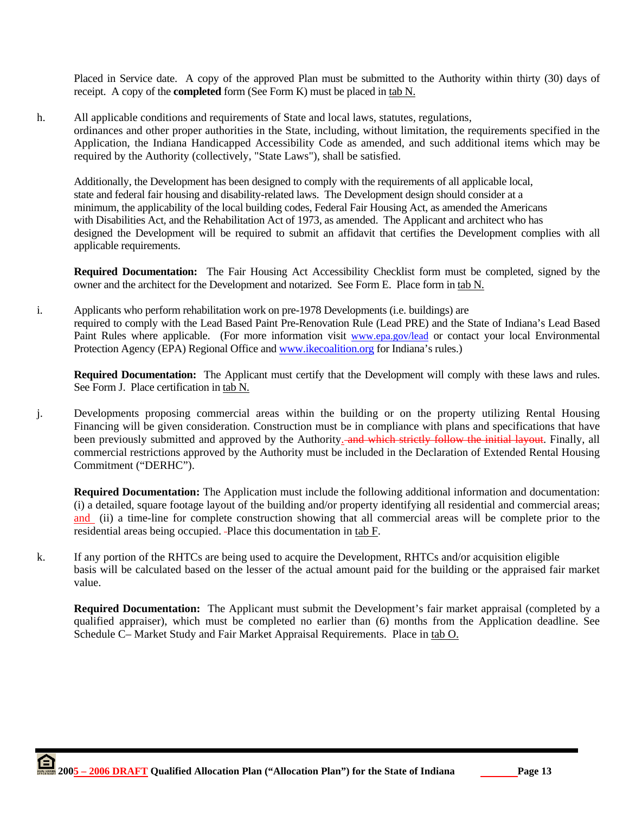Placed in Service date. A copy of the approved Plan must be submitted to the Authority within thirty (30) days of receipt. A copy of the **completed** form (See Form K) must be placed in tab N.

h. All applicable conditions and requirements of State and local laws, statutes, regulations, ordinances and other proper authorities in the State, including, without limitation, the requirements specified in the Application, the Indiana Handicapped Accessibility Code as amended, and such additional items which may be required by the Authority (collectively, "State Laws"), shall be satisfied.

Additionally, the Development has been designed to comply with the requirements of all applicable local, state and federal fair housing and disability-related laws. The Development design should consider at a minimum, the applicability of the local building codes, Federal Fair Housing Act, as amended the Americans with Disabilities Act, and the Rehabilitation Act of 1973, as amended. The Applicant and architect who has designed the Development will be required to submit an affidavit that certifies the Development complies with all applicable requirements.

**Required Documentation:** The Fair Housing Act Accessibility Checklist form must be completed, signed by the owner and the architect for the Development and notarized. See Form E. Place form in tab N.

i. Applicants who perform rehabilitation work on pre-1978 Developments (i.e. buildings) are required to comply with the Lead Based Paint Pre-Renovation Rule (Lead PRE) and the State of Indiana's Lead Based Paint Rules where applicable. (For more information visit www.epa.gov/lead or contact your local Environmental Protection Agency (EPA) Regional Office and www.ikecoalition.org for Indiana's rules.)

**Required Documentation:** The Applicant must certify that the Development will comply with these laws and rules. See Form J. Place certification in tab N.

j. Developments proposing commercial areas within the building or on the property utilizing Rental Housing Financing will be given consideration. Construction must be in compliance with plans and specifications that have been previously submitted and approved by the Authority. and which strictly follow the initial layout. Finally, all commercial restrictions approved by the Authority must be included in the Declaration of Extended Rental Housing Commitment ("DERHC").

**Required Documentation:** The Application must include the following additional information and documentation: (i) a detailed, square footage layout of the building and/or property identifying all residential and commercial areas; and (ii) a time-line for complete construction showing that all commercial areas will be complete prior to the residential areas being occupied. Place this documentation in tab F.

k. If any portion of the RHTCs are being used to acquire the Development, RHTCs and/or acquisition eligible basis will be calculated based on the lesser of the actual amount paid for the building or the appraised fair market value.

**Required Documentation:** The Applicant must submit the Development's fair market appraisal (completed by a qualified appraiser), which must be completed no earlier than (6) months from the Application deadline. See Schedule C– Market Study and Fair Market Appraisal Requirements. Place in tab O.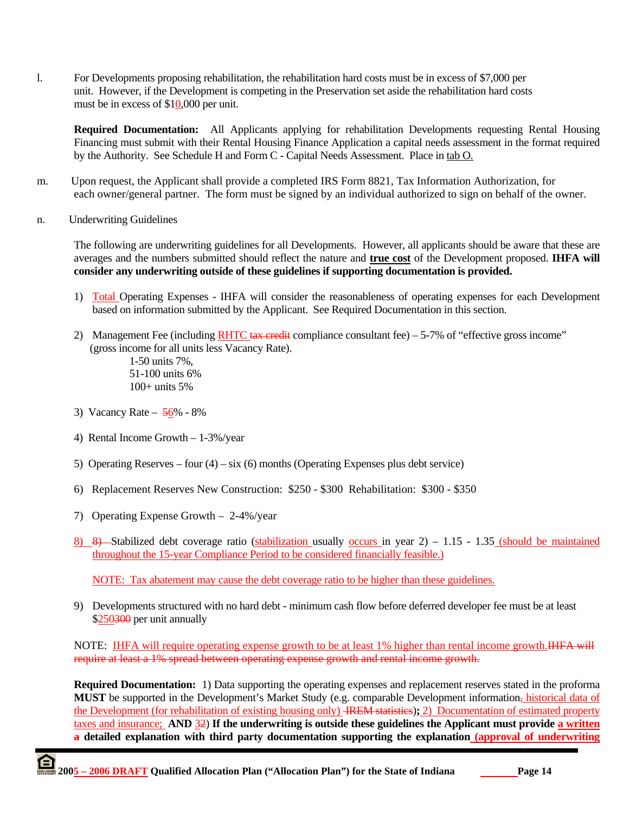l. For Developments proposing rehabilitation, the rehabilitation hard costs must be in excess of \$7,000 per unit. However, if the Development is competing in the Preservation set aside the rehabilitation hard costs must be in excess of \$10,000 per unit.

**Required Documentation:** All Applicants applying for rehabilitation Developments requesting Rental Housing Financing must submit with their Rental Housing Finance Application a capital needs assessment in the format required by the Authority. See Schedule H and Form C - Capital Needs Assessment. Place in tab O.

- m. Upon request, the Applicant shall provide a completed IRS Form 8821, Tax Information Authorization, for each owner/general partner. The form must be signed by an individual authorized to sign on behalf of the owner.
- n. Underwriting Guidelines

The following are underwriting guidelines for all Developments. However, all applicants should be aware that these are averages and the numbers submitted should reflect the nature and **true cost** of the Development proposed. **IHFA will consider any underwriting outside of these guidelines if supporting documentation is provided.** 

- 1) Total Operating Expenses IHFA will consider the reasonableness of operating expenses for each Development based on information submitted by the Applicant. See Required Documentation in this section.
- 2) Management Fee (including RHTC tax credit compliance consultant fee)  $-5-7%$  of "effective gross income" (gross income for all units less Vacancy Rate).

 1-50 units 7%, 51-100 units 6% 100+ units 5%

- 3) Vacancy Rate 56% 8%
- 4) Rental Income Growth 1-3%/year
- 5) Operating Reserves four  $(4)$  six  $(6)$  months (Operating Expenses plus debt service)
- 6) Replacement Reserves New Construction: \$250 \$300 Rehabilitation: \$300 \$350
- 7) Operating Expense Growth 2-4%/year
- 8) 8) Stabilized debt coverage ratio (stabilization usually occurs in year  $2)$  1.15 1.35 (should be maintained throughout the 15-year Compliance Period to be considered financially feasible.)

NOTE: Tax abatement may cause the debt coverage ratio to be higher than these guidelines.

9) Developments structured with no hard debt - minimum cash flow before deferred developer fee must be at least \$250300 per unit annually

NOTE: IHFA will require operating expense growth to be at least 1% higher than rental income growth.IHFA will require at least a 1% spread between operating expense growth and rental income growth.

**Required Documentation:** 1) Data supporting the operating expenses and replacement reserves stated in the proforma MUST be supported in the Development's Market Study (e.g. comparable Development information<sub>z</sub> historical data of the Development (for rehabilitation of existing housing only) IREM statistics)**;** 2) Documentation of estimated property taxes and insurance; **AND** 32) **If the underwriting is outside these guidelines the Applicant must provide a written a detailed explanation with third party documentation supporting the explanation (approval of underwriting**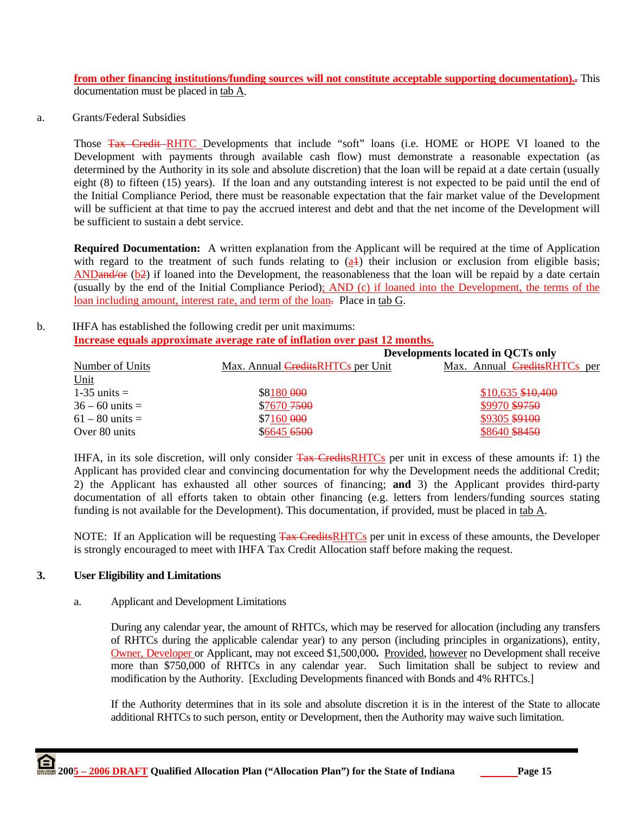**from other financing institutions/funding sources will not constitute acceptable supporting documentation)..** This documentation must be placed in tab A.

a. Grants/Federal Subsidies

Those Tax Credit-RHTC Developments that include "soft" loans (i.e. HOME or HOPE VI loaned to the Development with payments through available cash flow) must demonstrate a reasonable expectation (as determined by the Authority in its sole and absolute discretion) that the loan will be repaid at a date certain (usually eight (8) to fifteen (15) years). If the loan and any outstanding interest is not expected to be paid until the end of the Initial Compliance Period, there must be reasonable expectation that the fair market value of the Development will be sufficient at that time to pay the accrued interest and debt and that the net income of the Development will be sufficient to sustain a debt service.

**Required Documentation:** A written explanation from the Applicant will be required at the time of Application with regard to the treatment of such funds relating to  $(a+1)$  their inclusion or exclusion from eligible basis; ANDand/or (b2) if loaned into the Development, the reasonableness that the loan will be repaid by a date certain (usually by the end of the Initial Compliance Period); AND (c) if loaned into the Development, the terms of the loan including amount, interest rate, and term of the loan. Place in tab G.

#### b. IHFA has established the following credit per unit maximums: **Increase equals approximate average rate of inflation over past 12 months.**

|                   |                                          | Developments located in QCTs only   |  |  |
|-------------------|------------------------------------------|-------------------------------------|--|--|
| Number of Units   | Max. Annual <i>CreditsRHTCs</i> per Unit | Max. Annual <i>CreditsRHTCs</i> per |  |  |
| Unit              |                                          |                                     |  |  |
| $1-35$ units $=$  | \$8180 000                               | $$10,635$ $$10,400$                 |  |  |
| $36 - 60$ units = | \$7670 7500                              | \$9970 \$9750                       |  |  |
| $61 - 80$ units = | $$7160\,000$                             | \$9305 \$9100                       |  |  |
| Over 80 units     | \$6645 6500                              | \$8640 \$8450                       |  |  |

IHFA, in its sole discretion, will only consider Tax CreditsRHTCs per unit in excess of these amounts if: 1) the Applicant has provided clear and convincing documentation for why the Development needs the additional Credit; 2) the Applicant has exhausted all other sources of financing; **and** 3) the Applicant provides third-party documentation of all efforts taken to obtain other financing (e.g. letters from lenders/funding sources stating funding is not available for the Development). This documentation, if provided, must be placed in tab A.

NOTE: If an Application will be requesting Tax CreditsRHTCs per unit in excess of these amounts, the Developer is strongly encouraged to meet with IHFA Tax Credit Allocation staff before making the request.

### **3. User Eligibility and Limitations**

#### a. Applicant and Development Limitations

 During any calendar year, the amount of RHTCs, which may be reserved for allocation (including any transfers of RHTCs during the applicable calendar year) to any person (including principles in organizations), entity, Owner, Developer or Applicant, may not exceed \$1,500,000**.** Provided, however no Development shall receive more than \$750,000 of RHTCs in any calendar year. Such limitation shall be subject to review and modification by the Authority. [Excluding Developments financed with Bonds and 4% RHTCs.]

 If the Authority determines that in its sole and absolute discretion it is in the interest of the State to allocate additional RHTCs to such person, entity or Development, then the Authority may waive such limitation.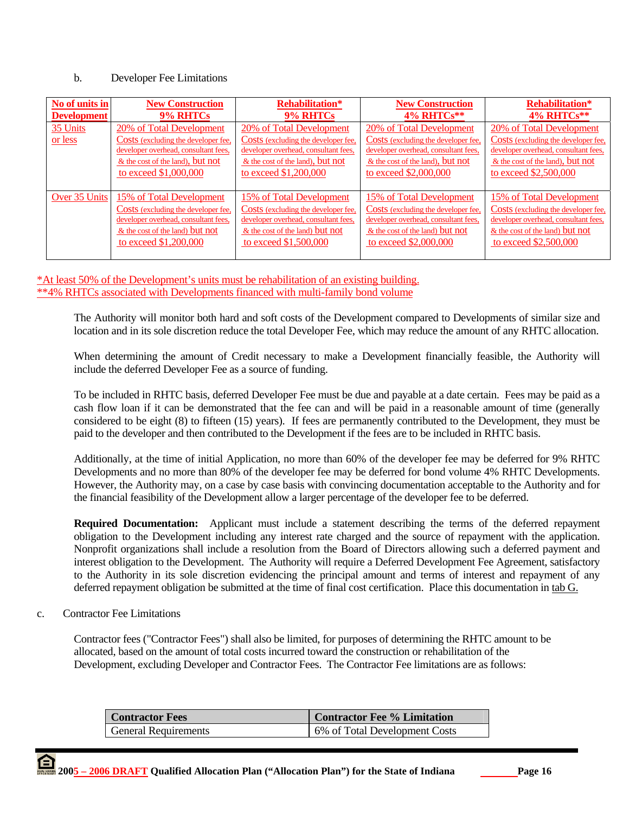#### b. Developer Fee Limitations

| No of units in      | <b>New Construction</b>                                                                                                                                                | <b>Rehabilitation*</b>                                                                                                                                               | <b>New Construction</b>                                                                                                                                              | <b>Rehabilitation*</b>                                                                                                                                                 |
|---------------------|------------------------------------------------------------------------------------------------------------------------------------------------------------------------|----------------------------------------------------------------------------------------------------------------------------------------------------------------------|----------------------------------------------------------------------------------------------------------------------------------------------------------------------|------------------------------------------------------------------------------------------------------------------------------------------------------------------------|
| <b>Development</b>  | <b>9% RHTCs</b>                                                                                                                                                        | 9% RHTCs                                                                                                                                                             | 4% RHTCs**                                                                                                                                                           | 4% RHTCs**                                                                                                                                                             |
| 35 Units<br>or less | 20% of Total Development<br>Costs (excluding the developer fee,<br>developer overhead, consultant fees,<br>$&$ the cost of the land), but not<br>to exceed \$1,000,000 | 20% of Total Development<br>Costs (excluding the developer fee,<br>developer overhead, consultant fees,<br>& the cost of the land), but not<br>to exceed \$1,200,000 | 20% of Total Development<br>Costs (excluding the developer fee,<br>developer overhead, consultant fees,<br>& the cost of the land), but not<br>to exceed \$2,000,000 | 20% of Total Development<br>Costs (excluding the developer fee,<br>developer overhead, consultant fees,<br>$&$ the cost of the land), but not<br>to exceed \$2,500,000 |
| Over 35 Units       | 15% of Total Development                                                                                                                                               | 15% of Total Development                                                                                                                                             | 15% of Total Development                                                                                                                                             | 15% of Total Development                                                                                                                                               |
|                     | Costs (excluding the developer fee,                                                                                                                                    | Costs (excluding the developer fee,                                                                                                                                  | Costs (excluding the developer fee,                                                                                                                                  | <b>Costs</b> (excluding the developer fee.                                                                                                                             |
|                     | developer overhead, consultant fees,                                                                                                                                   | developer overhead, consultant fees,                                                                                                                                 | developer overhead, consultant fees,                                                                                                                                 | developer overhead, consultant fees,                                                                                                                                   |
|                     | & the cost of the land) but not                                                                                                                                        | & the cost of the land) but not                                                                                                                                      | & the cost of the land) but not                                                                                                                                      | $&$ the cost of the land) but not                                                                                                                                      |
|                     | to exceed \$1,200,000                                                                                                                                                  | to exceed \$1,500,000                                                                                                                                                | to exceed \$2,000,000                                                                                                                                                | to exceed \$2,500,000                                                                                                                                                  |

\*At least 50% of the Development's units must be rehabilitation of an existing building. \*\*4% RHTCs associated with Developments financed with multi-family bond volume

The Authority will monitor both hard and soft costs of the Development compared to Developments of similar size and location and in its sole discretion reduce the total Developer Fee, which may reduce the amount of any RHTC allocation.

When determining the amount of Credit necessary to make a Development financially feasible, the Authority will include the deferred Developer Fee as a source of funding.

To be included in RHTC basis, deferred Developer Fee must be due and payable at a date certain. Fees may be paid as a cash flow loan if it can be demonstrated that the fee can and will be paid in a reasonable amount of time (generally considered to be eight (8) to fifteen (15) years). If fees are permanently contributed to the Development, they must be paid to the developer and then contributed to the Development if the fees are to be included in RHTC basis.

Additionally, at the time of initial Application, no more than 60% of the developer fee may be deferred for 9% RHTC Developments and no more than 80% of the developer fee may be deferred for bond volume 4% RHTC Developments. However, the Authority may, on a case by case basis with convincing documentation acceptable to the Authority and for the financial feasibility of the Development allow a larger percentage of the developer fee to be deferred.

**Required Documentation:** Applicant must include a statement describing the terms of the deferred repayment obligation to the Development including any interest rate charged and the source of repayment with the application. Nonprofit organizations shall include a resolution from the Board of Directors allowing such a deferred payment and interest obligation to the Development. The Authority will require a Deferred Development Fee Agreement, satisfactory to the Authority in its sole discretion evidencing the principal amount and terms of interest and repayment of any deferred repayment obligation be submitted at the time of final cost certification. Place this documentation in tab G.

c. Contractor Fee Limitations

Contractor fees ("Contractor Fees") shall also be limited, for purposes of determining the RHTC amount to be allocated, based on the amount of total costs incurred toward the construction or rehabilitation of the Development, excluding Developer and Contractor Fees. The Contractor Fee limitations are as follows:

| <b>Contractor Fees</b> | <b>Contractor Fee % Limitation</b> |
|------------------------|------------------------------------|
| General Requirements   | 6% of Total Development Costs      |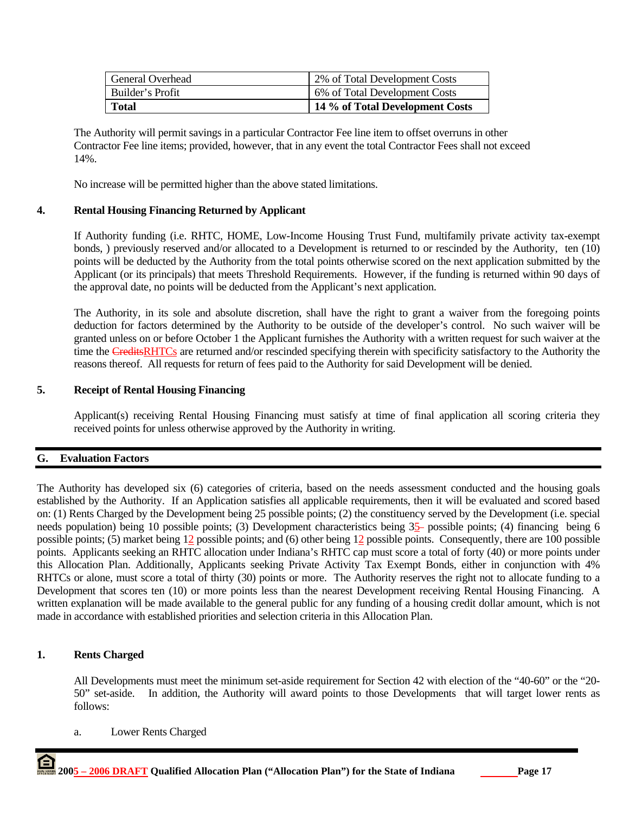| General Overhead | 2% of Total Development Costs   |
|------------------|---------------------------------|
| Builder's Profit | 6% of Total Development Costs   |
| <b>Total</b>     | 14 % of Total Development Costs |

The Authority will permit savings in a particular Contractor Fee line item to offset overruns in other Contractor Fee line items; provided, however, that in any event the total Contractor Fees shall not exceed 14%.

No increase will be permitted higher than the above stated limitations.

### **4. Rental Housing Financing Returned by Applicant**

If Authority funding (i.e. RHTC, HOME, Low-Income Housing Trust Fund, multifamily private activity tax-exempt bonds, ) previously reserved and/or allocated to a Development is returned to or rescinded by the Authority, ten (10) points will be deducted by the Authority from the total points otherwise scored on the next application submitted by the Applicant (or its principals) that meets Threshold Requirements. However, if the funding is returned within 90 days of the approval date, no points will be deducted from the Applicant's next application.

The Authority, in its sole and absolute discretion, shall have the right to grant a waiver from the foregoing points deduction for factors determined by the Authority to be outside of the developer's control. No such waiver will be granted unless on or before October 1 the Applicant furnishes the Authority with a written request for such waiver at the time the CreditsRHTCs are returned and/or rescinded specifying therein with specificity satisfactory to the Authority the reasons thereof. All requests for return of fees paid to the Authority for said Development will be denied.

# **5. Receipt of Rental Housing Financing**

Applicant(s) receiving Rental Housing Financing must satisfy at time of final application all scoring criteria they received points for unless otherwise approved by the Authority in writing.

### **G. Evaluation Factors**

The Authority has developed six (6) categories of criteria, based on the needs assessment conducted and the housing goals established by the Authority. If an Application satisfies all applicable requirements, then it will be evaluated and scored based on: (1) Rents Charged by the Development being 25 possible points; (2) the constituency served by the Development (i.e. special needs population) being 10 possible points; (3) Development characteristics being 35– possible points; (4) financing being 6 possible points; (5) market being 12 possible points; and (6) other being 12 possible points. Consequently, there are 100 possible points. Applicants seeking an RHTC allocation under Indiana's RHTC cap must score a total of forty (40) or more points under this Allocation Plan. Additionally, Applicants seeking Private Activity Tax Exempt Bonds, either in conjunction with 4% RHTCs or alone, must score a total of thirty (30) points or more. The Authority reserves the right not to allocate funding to a Development that scores ten (10) or more points less than the nearest Development receiving Rental Housing Financing. A written explanation will be made available to the general public for any funding of a housing credit dollar amount, which is not made in accordance with established priorities and selection criteria in this Allocation Plan.

### **1. Rents Charged**

All Developments must meet the minimum set-aside requirement for Section 42 with election of the "40-60" or the "20- 50" set-aside. In addition, the Authority will award points to those Developments that will target lower rents as follows:

a. Lower Rents Charged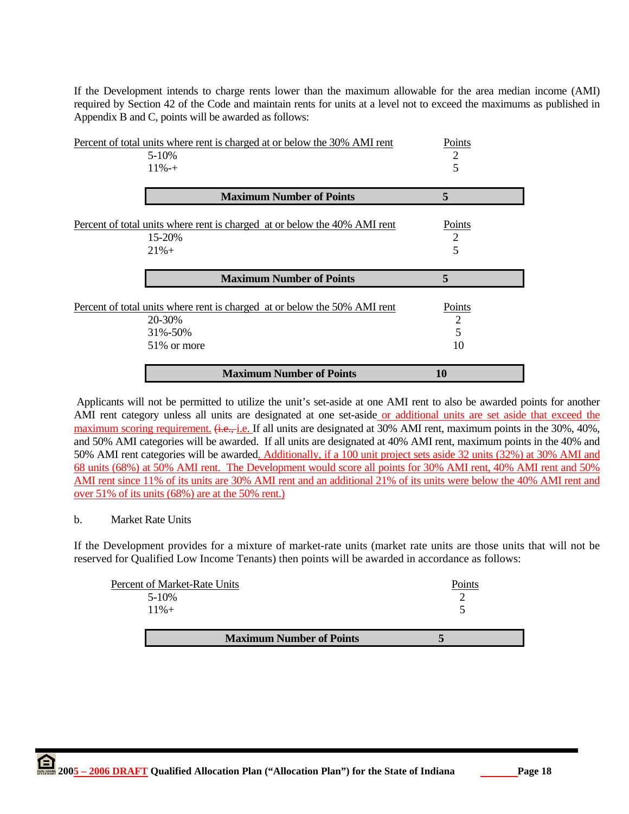If the Development intends to charge rents lower than the maximum allowable for the area median income (AMI) required by Section 42 of the Code and maintain rents for units at a level not to exceed the maximums as published in Appendix B and C, points will be awarded as follows:

| Percent of total units where rent is charged at or below the 30% AMI rent                                      | Points                        |
|----------------------------------------------------------------------------------------------------------------|-------------------------------|
| 5-10%                                                                                                          | 2                             |
| $11\% - +$                                                                                                     | 5                             |
| <b>Maximum Number of Points</b>                                                                                | 5                             |
| Percent of total units where rent is charged at or below the 40% AMI rent<br>15-20%<br>$21% +$                 | Points<br>$\overline{2}$<br>5 |
| <b>Maximum Number of Points</b>                                                                                | 5                             |
|                                                                                                                |                               |
| Percent of total units where rent is charged at or below the 50% AMI rent<br>20-30%<br>31%-50%<br>51\% or more | Points<br>2<br>5<br>10        |

 Applicants will not be permitted to utilize the unit's set-aside at one AMI rent to also be awarded points for another AMI rent category unless all units are designated at one set-aside or additional units are set aside that exceed the maximum scoring requirement.  $\ddot{\textbf{a}}$ .  $\ddot{\textbf{e}}$ , i.e. If all units are designated at 30% AMI rent, maximum points in the 30%, 40%, and 50% AMI categories will be awarded. If all units are designated at 40% AMI rent, maximum points in the 40% and 50% AMI rent categories will be awarded. Additionally, if a 100 unit project sets aside 32 units (32%) at 30% AMI and 68 units (68%) at 50% AMI rent. The Development would score all points for 30% AMI rent, 40% AMI rent and 50% AMI rent since 11% of its units are 30% AMI rent and an additional 21% of its units were below the 40% AMI rent and over 51% of its units (68%) are at the 50% rent.)

### b. Market Rate Units

If the Development provides for a mixture of market-rate units (market rate units are those units that will not be reserved for Qualified Low Income Tenants) then points will be awarded in accordance as follows:

| <b>Maximum Number of Points</b> |        |
|---------------------------------|--------|
| $11\% +$                        |        |
| $5-10%$                         |        |
| Percent of Market-Rate Units    | Points |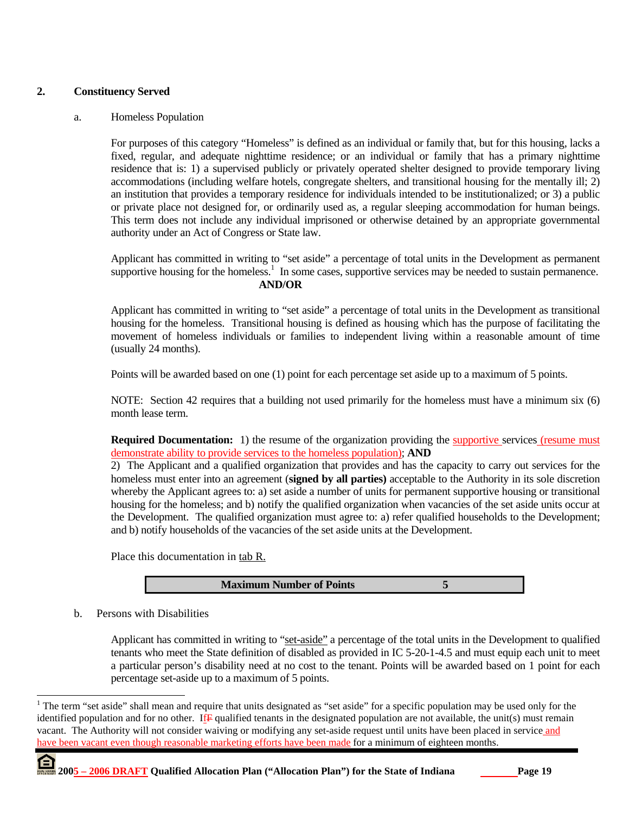# **2. Constituency Served**

#### a. Homeless Population

For purposes of this category "Homeless" is defined as an individual or family that, but for this housing, lacks a fixed, regular, and adequate nighttime residence; or an individual or family that has a primary nighttime residence that is: 1) a supervised publicly or privately operated shelter designed to provide temporary living accommodations (including welfare hotels, congregate shelters, and transitional housing for the mentally ill; 2) an institution that provides a temporary residence for individuals intended to be institutionalized; or 3) a public or private place not designed for, or ordinarily used as, a regular sleeping accommodation for human beings. This term does not include any individual imprisoned or otherwise detained by an appropriate governmental authority under an Act of Congress or State law.

Applicant has committed in writing to "set aside" a percentage of total units in the Development as permanent supportive housing for the homeless.<sup>1</sup> In some cases, supportive services may be needed to sustain permanence. **AND/OR** 

Applicant has committed in writing to "set aside" a percentage of total units in the Development as transitional housing for the homeless. Transitional housing is defined as housing which has the purpose of facilitating the movement of homeless individuals or families to independent living within a reasonable amount of time (usually 24 months).

Points will be awarded based on one (1) point for each percentage set aside up to a maximum of 5 points.

NOTE: Section 42 requires that a building not used primarily for the homeless must have a minimum six (6) month lease term.

**Required Documentation:** 1) the resume of the organization providing the supportive services (resume must demonstrate ability to provide services to the homeless population); **AND** 

2) The Applicant and a qualified organization that provides and has the capacity to carry out services for the homeless must enter into an agreement (**signed by all parties)** acceptable to the Authority in its sole discretion whereby the Applicant agrees to: a) set aside a number of units for permanent supportive housing or transitional housing for the homeless; and b) notify the qualified organization when vacancies of the set aside units occur at the Development. The qualified organization must agree to: a) refer qualified households to the Development; and b) notify households of the vacancies of the set aside units at the Development.

Place this documentation in tab R.

**Maximum Number of Points 5**

b. Persons with Disabilities

 $\overline{a}$ 

Applicant has committed in writing to "set-aside" a percentage of the total units in the Development to qualified tenants who meet the State definition of disabled as provided in IC 5-20-1-4.5 and must equip each unit to meet a particular person's disability need at no cost to the tenant. Points will be awarded based on 1 point for each percentage set-aside up to a maximum of 5 points.

<sup>&</sup>lt;sup>1</sup> The term "set aside" shall mean and require that units designated as "set aside" for a specific population may be used only for the identified population and for no other. If  $\mathbf{F}$  qualified tenants in the designated population are not available, the unit(s) must remain vacant. The Authority will not consider waiving or modifying any set-aside request until units have been placed in service and have been vacant even though reasonable marketing efforts have been made for a minimum of eighteen months.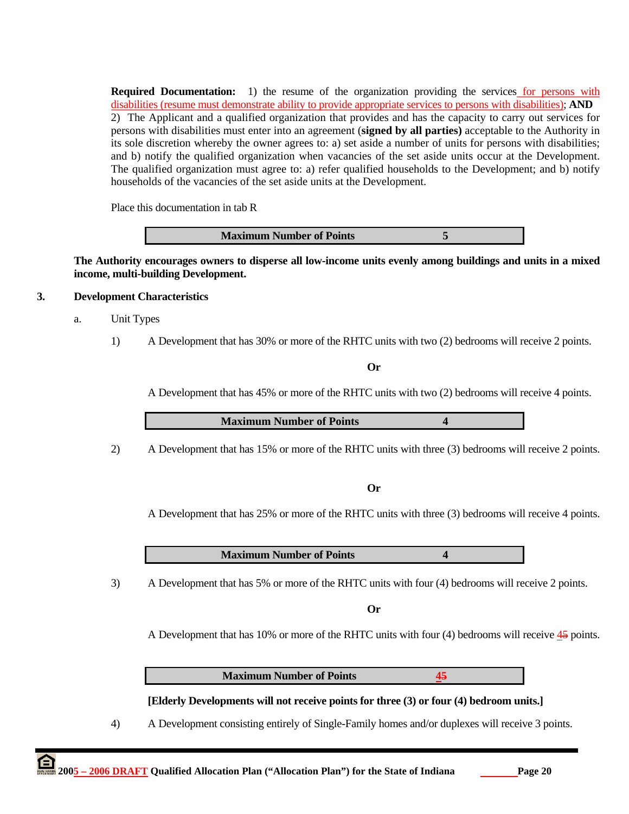**Required Documentation:** 1) the resume of the organization providing the services for persons with disabilities (resume must demonstrate ability to provide appropriate services to persons with disabilities); **AND**  2) The Applicant and a qualified organization that provides and has the capacity to carry out services for persons with disabilities must enter into an agreement (**signed by all parties)** acceptable to the Authority in its sole discretion whereby the owner agrees to: a) set aside a number of units for persons with disabilities; and b) notify the qualified organization when vacancies of the set aside units occur at the Development. The qualified organization must agree to: a) refer qualified households to the Development; and b) notify households of the vacancies of the set aside units at the Development.

Place this documentation in tab R

**Maximum Number of Points 5** 

**The Authority encourages owners to disperse all low-income units evenly among buildings and units in a mixed income, multi-building Development.** 

#### **3. Development Characteristics**

- a. Unit Types
	- 1) A Development that has 30% or more of the RHTC units with two (2) bedrooms will receive 2 points.

**Or** 

A Development that has 45% or more of the RHTC units with two (2) bedrooms will receive 4 points.

**Maximum Number of Points 4** 

2) A Development that has 15% or more of the RHTC units with three (3) bedrooms will receive 2 points.

**Or** 

A Development that has 25% or more of the RHTC units with three (3) bedrooms will receive 4 points.

**Maximum Number of Points 4**

3) A Development that has 5% or more of the RHTC units with four (4) bedrooms will receive 2 points.

**Or** 

A Development that has 10% or more of the RHTC units with four (4) bedrooms will receive 45 points.

**Maximum Number of Points 45**

### **[Elderly Developments will not receive points for three (3) or four (4) bedroom units.]**

4) A Development consisting entirely of Single-Family homes and/or duplexes will receive 3 points.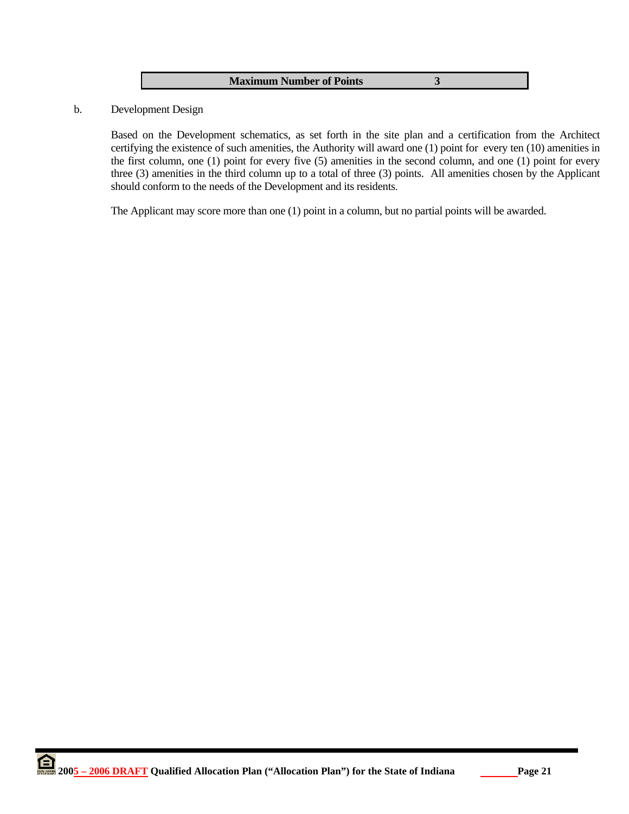|  | <b>Maximum Number of Points</b> |  |
|--|---------------------------------|--|
|--|---------------------------------|--|

b. Development Design

Based on the Development schematics, as set forth in the site plan and a certification from the Architect certifying the existence of such amenities, the Authority will award one (1) point for every ten (10) amenities in the first column, one (1) point for every five (5) amenities in the second column, and one (1) point for every three (3) amenities in the third column up to a total of three (3) points. All amenities chosen by the Applicant should conform to the needs of the Development and its residents.

The Applicant may score more than one (1) point in a column, but no partial points will be awarded.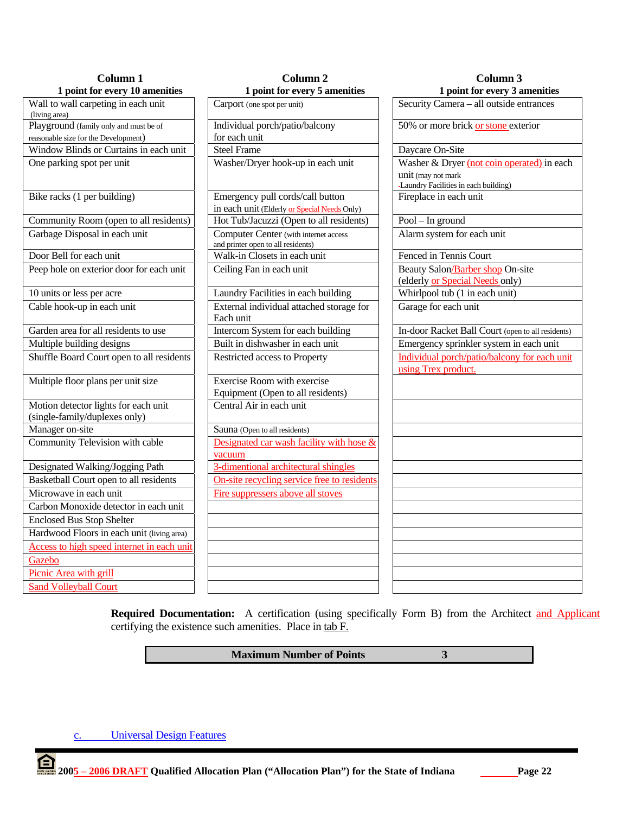| Column 1                                                              | Column <sub>2</sub>                                                                | Column 3                                                            |  |
|-----------------------------------------------------------------------|------------------------------------------------------------------------------------|---------------------------------------------------------------------|--|
| 1 point for every 10 amenities                                        | 1 point for every 5 amenities                                                      | 1 point for every 3 amenities                                       |  |
| Wall to wall carpeting in each unit<br>(living area)                  | Carport (one spot per unit)                                                        | Security Camera - all outside entrances                             |  |
| Playground (family only and must be of                                | Individual porch/patio/balcony                                                     | 50% or more brick or stone exterior                                 |  |
| reasonable size for the Development)                                  | for each unit                                                                      |                                                                     |  |
| Window Blinds or Curtains in each unit                                | <b>Steel Frame</b>                                                                 | Daycare On-Site                                                     |  |
| One parking spot per unit                                             | Washer/Dryer hook-up in each unit                                                  | Washer & Dryer (not coin operated) in each                          |  |
|                                                                       |                                                                                    | unit (may not mark<br>-Laundry Facilities in each building)         |  |
| Bike racks (1 per building)                                           | Emergency pull cords/call button                                                   | Fireplace in each unit                                              |  |
|                                                                       | in each unit (Elderly or Special Needs Only)                                       |                                                                     |  |
| Community Room (open to all residents)                                | Hot Tub/Jacuzzi (Open to all residents)                                            | $Pool - In ground$                                                  |  |
| Garbage Disposal in each unit                                         | <b>Computer Center</b> (with internet access<br>and printer open to all residents) | Alarm system for each unit                                          |  |
| Door Bell for each unit                                               | Walk-in Closets in each unit                                                       | Fenced in Tennis Court                                              |  |
| Peep hole on exterior door for each unit                              | Ceiling Fan in each unit                                                           | Beauty Salon/Barber shop On-site<br>(elderly or Special Needs only) |  |
| 10 units or less per acre                                             | Laundry Facilities in each building                                                | Whirlpool tub (1 in each unit)                                      |  |
| Cable hook-up in each unit                                            | External individual attached storage for<br>Each unit                              | Garage for each unit                                                |  |
| Garden area for all residents to use                                  | Intercom System for each building                                                  | In-door Racket Ball Court (open to all residents)                   |  |
| Multiple building designs                                             | Built in dishwasher in each unit                                                   | Emergency sprinkler system in each unit                             |  |
| Shuffle Board Court open to all residents                             | Restricted access to Property                                                      | Individual porch/patio/balcony for each unit<br>using Trex product. |  |
| Multiple floor plans per unit size                                    | Exercise Room with exercise<br>Equipment (Open to all residents)                   |                                                                     |  |
| Motion detector lights for each unit<br>(single-family/duplexes only) | Central Air in each unit                                                           |                                                                     |  |
| Manager on-site                                                       | Sauna (Open to all residents)                                                      |                                                                     |  |
| Community Television with cable                                       | Designated car wash facility with hose &<br>vacuum                                 |                                                                     |  |
| Designated Walking/Jogging Path                                       | 3-dimentional architectural shingles                                               |                                                                     |  |
| Basketball Court open to all residents                                | On-site recycling service free to residents                                        |                                                                     |  |
| Microwave in each unit                                                | Fire suppressers above all stoves                                                  |                                                                     |  |
| Carbon Monoxide detector in each unit                                 |                                                                                    |                                                                     |  |
| <b>Enclosed Bus Stop Shelter</b>                                      |                                                                                    |                                                                     |  |
| Hardwood Floors in each unit (living area)                            |                                                                                    |                                                                     |  |
| Access to high speed internet in each unit                            |                                                                                    |                                                                     |  |
| Gazebo                                                                |                                                                                    |                                                                     |  |
| Picnic Area with grill                                                |                                                                                    |                                                                     |  |
| <b>Sand Volleyball Court</b>                                          |                                                                                    |                                                                     |  |

Required Documentation: A certification (using specifically Form B) from the Architect and Applicant certifying the existence such amenities. Place in tab F.

**Maximum Number of Points** 3

c. Universal Design Features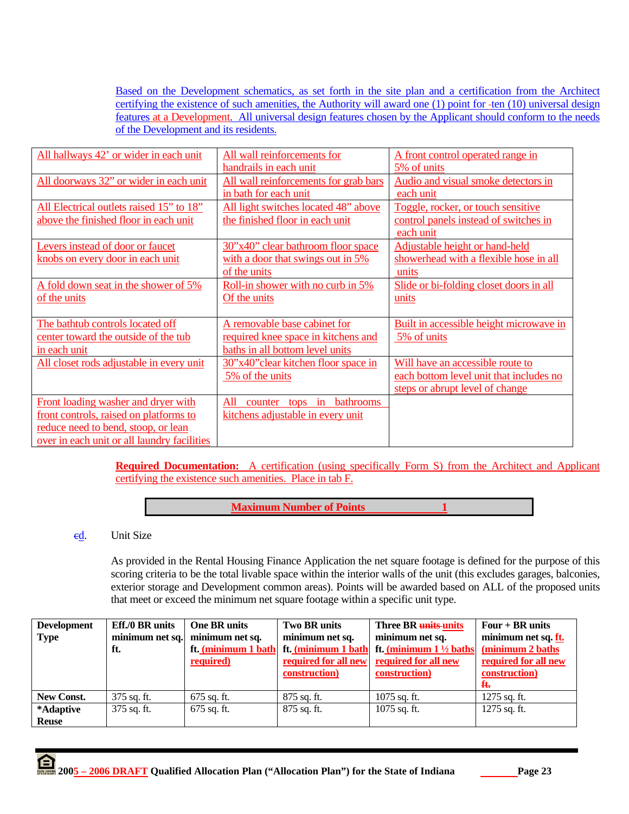Based on the Development schematics, as set forth in the site plan and a certification from the Architect certifying the existence of such amenities, the Authority will award one  $(1)$  point for -ten  $(10)$  universal design features at a Development. All universal design features chosen by the Applicant should conform to the needs of the Development and its residents.

| All hallways 42' or wider in each unit      | All wall reinforcements for                      | A front control operated range in       |
|---------------------------------------------|--------------------------------------------------|-----------------------------------------|
|                                             | handrails in each unit                           | 5% of units                             |
| All doorways 32" or wider in each unit      | All wall reinforcements for grab bars            | Audio and visual smoke detectors in     |
|                                             | in bath for each unit                            | each unit                               |
| All Electrical outlets raised 15" to 18"    | All light switches located 48" above             | Toggle, rocker, or touch sensitive      |
| above the finished floor in each unit       | the finished floor in each unit                  | control panels instead of switches in   |
|                                             |                                                  | each unit                               |
| Levers instead of door or faucet            | 30"x40" clear bathroom floor space               | Adjustable height or hand-held          |
| knobs on every door in each unit            | with a door that swings out in 5%                | showerhead with a flexible hose in all  |
|                                             | of the units                                     | units                                   |
| A fold down seat in the shower of 5%        | Roll-in shower with no curb in 5%                | Slide or bi-folding closet doors in all |
| of the units                                | Of the units                                     | units                                   |
|                                             |                                                  |                                         |
| The bathtub controls located off            | A removable base cabinet for                     | Built in accessible height microwave in |
| center toward the outside of the tub        | required knee space in kitchens and              | 5% of units                             |
| in each unit                                | baths in all bottom level units                  |                                         |
| All closet rods adjustable in every unit    | 30"x40" clear kitchen floor space in             | Will have an accessible route to        |
|                                             | 5% of the units                                  | each bottom level unit that includes no |
|                                             |                                                  | steps or abrupt level of change         |
| Front loading washer and dryer with         | <b>bathrooms</b><br>All<br>tops<br>in<br>counter |                                         |
| front controls, raised on platforms to      | kitchens adjustable in every unit                |                                         |
| reduce need to bend, stoop, or lean         |                                                  |                                         |
| over in each unit or all laundry facilities |                                                  |                                         |

**Required Documentation:** A certification (using specifically Form S) from the Architect and Applicant certifying the existence such amenities. Place in tab F.

**Maximum Number of Points** 1

# ed. Unit Size

As provided in the Rental Housing Finance Application the net square footage is defined for the purpose of this scoring criteria to be the total livable space within the interior walls of the unit (this excludes garages, balconies, exterior storage and Development common areas). Points will be awarded based on ALL of the proposed units that meet or exceed the minimum net square footage within a specific unit type.

| <b>Development</b> | Eff./0 BR units | <b>One BR units</b> | <b>Two BR units</b> | Three BR units units                                  | Four $+$ BR units    |
|--------------------|-----------------|---------------------|---------------------|-------------------------------------------------------|----------------------|
| <b>Type</b>        | minimum net sq. | minimum net sq.     | minimum net sq.     | minimum net sq.                                       | minimum net sq. ft.  |
|                    | ft.             | ft. (minimum 1 bath |                     | ft. (minimum 1 bath ft. (minimum $1\frac{1}{2}$ baths | (minimum 2 baths)    |
|                    |                 | required)           |                     | required for all new required for all new             | required for all new |
|                    |                 |                     | construction)       | construction)                                         | construction)        |
|                    |                 |                     |                     |                                                       | $\mathbf{f}$         |
| New Const.         | $375$ sq. ft.   | 675 sq. ft.         | $875$ sq. ft.       | $1075$ sq. ft.                                        | $1275$ sq. ft.       |
| *Adaptive          | 375 sq. ft.     | $675$ sq. ft.       | 875 sq. ft.         | $1075$ sq. ft.                                        | 1275 sq. ft.         |
| <b>Reuse</b>       |                 |                     |                     |                                                       |                      |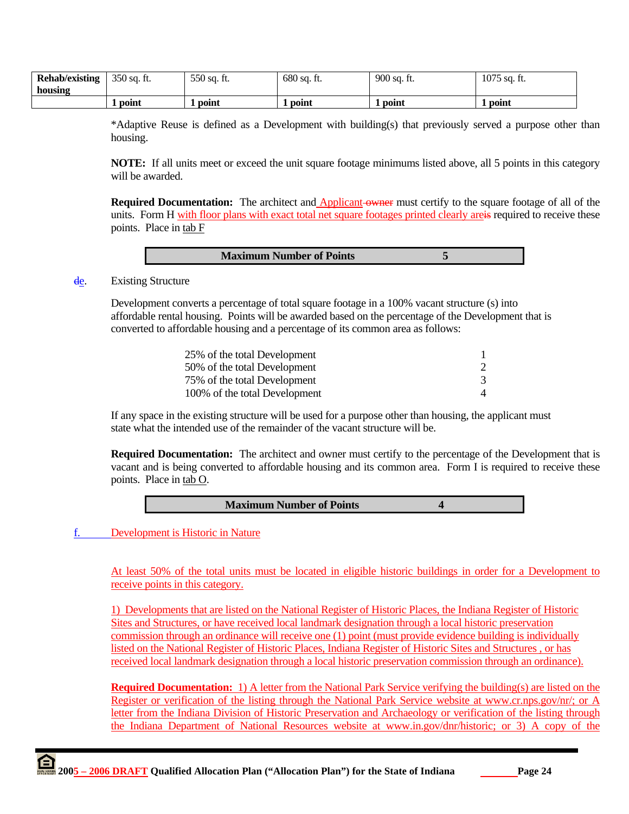| <b>Rehab/existing</b> | $350$ sq. ft. | 550 sq. ft. | $680$ sq. ft. | 900 sq. ft. | 1075 sq. ft. |
|-----------------------|---------------|-------------|---------------|-------------|--------------|
| housing               |               |             |               |             |              |
|                       | point         | point       | point         | point       | point        |

\*Adaptive Reuse is defined as a Development with building(s) that previously served a purpose other than housing.

**NOTE:** If all units meet or exceed the unit square footage minimums listed above, all 5 points in this category will be awarded.

**Required Documentation:** The architect and **Applicant** owner must certify to the square footage of all of the units. Form H with floor plans with exact total net square footages printed clearly areas required to receive these points. Place in tab F

#### de. Existing Structure

 Development converts a percentage of total square footage in a 100% vacant structure (s) into affordable rental housing. Points will be awarded based on the percentage of the Development that is converted to affordable housing and a percentage of its common area as follows:

| 25% of the total Development  |  |
|-------------------------------|--|
| 50% of the total Development  |  |
| 75% of the total Development  |  |
| 100% of the total Development |  |

If any space in the existing structure will be used for a purpose other than housing, the applicant must state what the intended use of the remainder of the vacant structure will be.

**Required Documentation:** The architect and owner must certify to the percentage of the Development that is vacant and is being converted to affordable housing and its common area. Form I is required to receive these points. Place in tab O.

| <b>Maximum Number of Points</b> |  |
|---------------------------------|--|
|                                 |  |

### f. Development is Historic in Nature

At least 50% of the total units must be located in eligible historic buildings in order for a Development to receive points in this category.

1) Developments that are listed on the National Register of Historic Places, the Indiana Register of Historic Sites and Structures, or have received local landmark designation through a local historic preservation commission through an ordinance will receive one (1) point (must provide evidence building is individually listed on the National Register of Historic Places, Indiana Register of Historic Sites and Structures , or has received local landmark designation through a local historic preservation commission through an ordinance).

**Required Documentation:** 1) A letter from the National Park Service verifying the building(s) are listed on the Register or verification of the listing through the National Park Service website at www.cr.nps.gov/nr/; or A letter from the Indiana Division of Historic Preservation and Archaeology or verification of the listing through the Indiana Department of National Resources website at www.in.gov/dnr/historic; or 3) A copy of the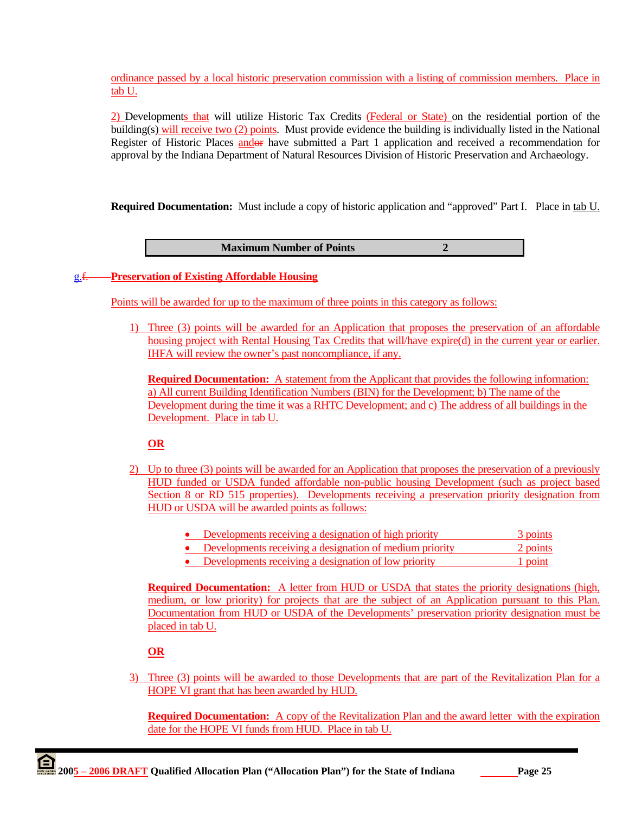ordinance passed by a local historic preservation commission with a listing of commission members. Place in tab U.

2) Developments that will utilize Historic Tax Credits (Federal or State) on the residential portion of the building(s) will receive two (2) points. Must provide evidence the building is individually listed in the National Register of Historic Places andor have submitted a Part 1 application and received a recommendation for approval by the Indiana Department of Natural Resources Division of Historic Preservation and Archaeology.

**Required Documentation:** Must include a copy of historic application and "approved" Part I. Place in tab U.

**Maximum Number of Points 2** 

### g.f. **Preservation of Existing Affordable Housing**

Points will be awarded for up to the maximum of three points in this category as follows:

1) Three (3) points will be awarded for an Application that proposes the preservation of an affordable housing project with Rental Housing Tax Credits that will/have expire(d) in the current year or earlier. IHFA will review the owner's past noncompliance, if any.

**Required Documentation:** A statement from the Applicant that provides the following information: a) All current Building Identification Numbers (BIN) for the Development; b) The name of the Development during the time it was a RHTC Development; and c) The address of all buildings in the Development. Place in tab U.

# **OR**

- 2) Up to three (3) points will be awarded for an Application that proposes the preservation of a previously HUD funded or USDA funded affordable non-public housing Development (such as project based Section 8 or RD 515 properties). Developments receiving a preservation priority designation from HUD or USDA will be awarded points as follows:
	- Developments receiving a designation of high priority 3 points
	- Developments receiving a designation of medium priority 2 points
	- Developments receiving a designation of low priority 1 point

**Required Documentation:** A letter from HUD or USDA that states the priority designations (high, medium, or low priority) for projects that are the subject of an Application pursuant to this Plan. Documentation from HUD or USDA of the Developments' preservation priority designation must be placed in tab U.

### **OR**

3) Three (3) points will be awarded to those Developments that are part of the Revitalization Plan for a HOPE VI grant that has been awarded by HUD.

**Required Documentation:** A copy of the Revitalization Plan and the award letter with the expiration date for the HOPE VI funds from HUD. Place in tab U.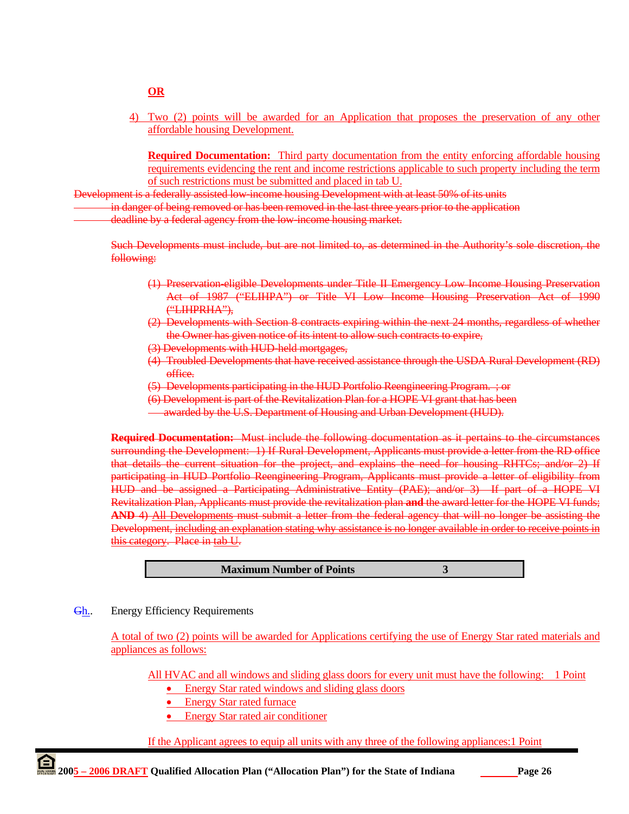#### **OR**

4) Two (2) points will be awarded for an Application that proposes the preservation of any other affordable housing Development.

**Required Documentation:** Third party documentation from the entity enforcing affordable housing requirements evidencing the rent and income restrictions applicable to such property including the term of such restrictions must be submitted and placed in tab U.

Development is a federally assisted low-income housing Development with at least 50% of its units

in danger of being removed or has been removed in the last three years prior to the application

deadline by a federal agency from the low-income housing market.

Such Developments must include, but are not limited to, as determined in the Authority's sole discretion, the following:

- (1) Preservation-eligible Developments under Title II Emergency Low Income Housing Preservation Act of 1987 ("ELIHPA") or Title VI Low Income Housing Preservation Act of 1990 ("LIHPRHA"),
- (2) Developments with Section 8 contracts expiring within the next 24 months, regardless of whether the Owner has given notice of its intent to allow such contracts to expire,
- (3) Developments with HUD-held mortgages,
- (4) Troubled Developments that have received assistance through the USDA Rural Development (RD) office.
- (5) Developments participating in the HUD Portfolio Reengineering Program. ; or
- (6) Development is part of the Revitalization Plan for a HOPE VI grant that has been
- awarded by the U.S. Department of Housing and Urban Development (HUD).

**Required Documentation:** Must include the following documentation as it pertains to the circumstances surrounding the Development: 1) If Rural Development, Applicants must provide a letter from the RD office that details the current situation for the project, and explains the need for housing RHTCs; and/or 2) If participating in HUD Portfolio Reengineering Program, Applicants must provide a letter of eligibility from HUD and be assigned a Participating Administrative Entity (PAE); and/or 3) If part of a HOPE VI Revitalization Plan, Applicants must provide the revitalization plan **and** the award letter for the HOPE VI funds; **AND** 4) All Developments must submit a letter from the federal agency that will no longer be assisting the Development, including an explanation stating why assistance is no longer available in order to receive points in this category. Place in tab U.

**Maximum Number of Points 3** 

Gh.. Energy Efficiency Requirements

A total of two (2) points will be awarded for Applications certifying the use of Energy Star rated materials and appliances as follows:

All HVAC and all windows and sliding glass doors for every unit must have the following: 1 Point

- Energy Star rated windows and sliding glass doors
- Energy Star rated furnace
- Energy Star rated air conditioner

If the Applicant agrees to equip all units with any three of the following appliances:1 Point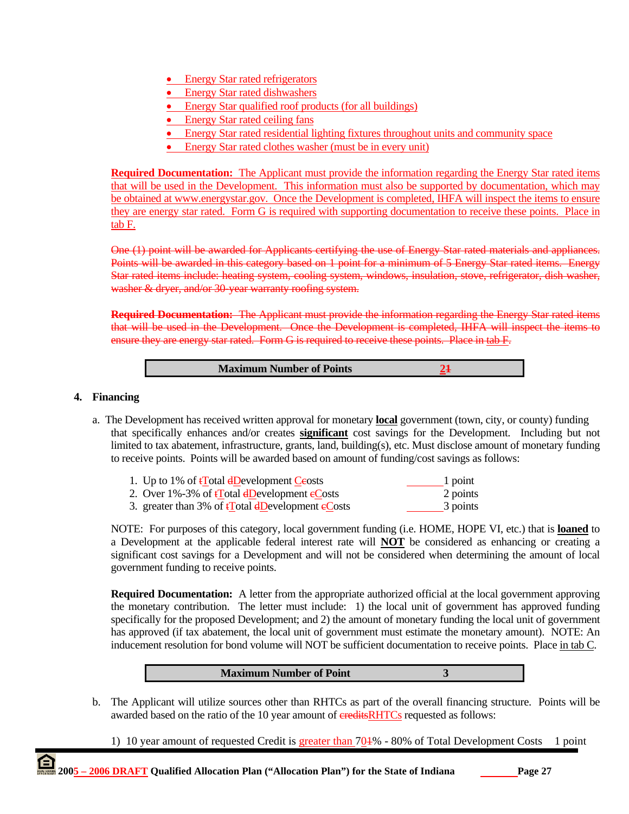- Energy Star rated refrigerators
- Energy Star rated dishwashers
- Energy Star qualified roof products (for all buildings)
- Energy Star rated ceiling fans
- Energy Star rated residential lighting fixtures throughout units and community space
- Energy Star rated clothes washer (must be in every unit)

**Required Documentation:** The Applicant must provide the information regarding the Energy Star rated items that will be used in the Development. This information must also be supported by documentation, which may be obtained at www.energystar.gov. Once the Development is completed, IHFA will inspect the items to ensure they are energy star rated. Form G is required with supporting documentation to receive these points. Place in tab F.

One (1) point will be awarded for Applicants certifying the use of Energy Star rated materials and appliances. Points will be awarded in this category based on 1 point for a minimum of 5 Energy Star rated items. Energy Star rated items include: heating system, cooling system, windows, insulation, stove, refrigerator, dish washer, washer & dryer, and/or 30-year warranty roofing system.

**Required Documentation:** The Applicant must provide the information regarding the Energy Star rated items that will be used in the Development. Once the Development is completed, IHFA will inspect the items to ensure they are energy star rated. Form G is required to receive these points. Place in tab F.

**Maximum Number of Points** 24

#### **4. Financing**

a. The Development has received written approval for monetary **local** government (town, city, or county) funding that specifically enhances and/or creates **significant** cost savings for the Development. Including but not limited to tax abatement, infrastructure, grants, land, building(s), etc. Must disclose amount of monetary funding to receive points. Points will be awarded based on amount of funding/cost savings as follows:

| 1. Up to 1% of $\frac{1}{2}$ otal $\frac{1}{2}$ evelopment Ceosts                      | 1 point  |
|----------------------------------------------------------------------------------------|----------|
| 2. Over 1%-3% of tTotal dDevelopment eCosts                                            | 2 points |
| 3. greater than 3% of $\frac{1}{2}$ otal $\frac{1}{2}$ development $\frac{1}{2}$ costs | 3 points |

 NOTE: For purposes of this category, local government funding (i.e. HOME, HOPE VI, etc.) that is **loaned** to a Development at the applicable federal interest rate will **NOT** be considered as enhancing or creating a significant cost savings for a Development and will not be considered when determining the amount of local government funding to receive points.

**Required Documentation:** A letter from the appropriate authorized official at the local government approving the monetary contribution. The letter must include: 1) the local unit of government has approved funding specifically for the proposed Development; and 2) the amount of monetary funding the local unit of government has approved (if tax abatement, the local unit of government must estimate the monetary amount). NOTE: An inducement resolution for bond volume will NOT be sufficient documentation to receive points. Place in tab C.



b. The Applicant will utilize sources other than RHTCs as part of the overall financing structure. Points will be awarded based on the ratio of the 10 year amount of ereditsRHTCs requested as follows:

1) 10 year amount of requested Credit is greater than 701% - 80% of Total Development Costs 1 point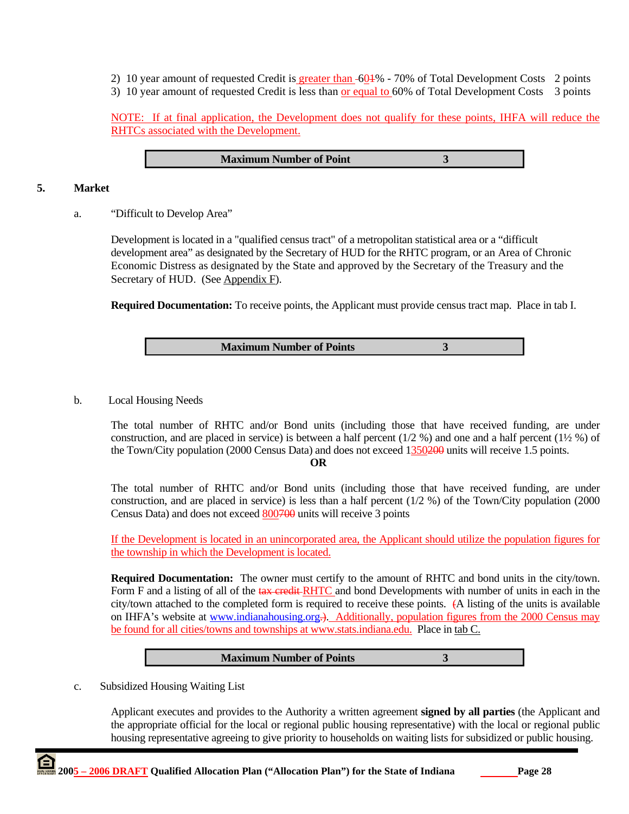2) 10 year amount of requested Credit is greater than -604% - 70% of Total Development Costs 2 points

3) 10 year amount of requested Credit is less than or equal to 60% of Total Development Costs 3 points

NOTE: If at final application, the Development does not qualify for these points, IHFA will reduce the RHTCs associated with the Development.

**Maximum Number of Point 3** 

# **5. Market**

a. "Difficult to Develop Area"

Development is located in a "qualified census tract" of a metropolitan statistical area or a "difficult development area" as designated by the Secretary of HUD for the RHTC program, or an Area of Chronic Economic Distress as designated by the State and approved by the Secretary of the Treasury and the Secretary of HUD. (See Appendix F).

**Required Documentation:** To receive points, the Applicant must provide census tract map. Place in tab I.

**Maximum Number of Points 3** 

b. Local Housing Needs

 The total number of RHTC and/or Bond units (including those that have received funding, are under construction, and are placed in service) is between a half percent (1/2 %) and one and a half percent (1½ %) of the Town/City population (2000 Census Data) and does not exceed 1350200 units will receive 1.5 points.

**OR**

The total number of RHTC and/or Bond units (including those that have received funding, are under construction, and are placed in service) is less than a half percent (1/2 %) of the Town/City population (2000 Census Data) and does not exceed 800700 units will receive 3 points

If the Development is located in an unincorporated area, the Applicant should utilize the population figures for the township in which the Development is located.

**Required Documentation:** The owner must certify to the amount of RHTC and bond units in the city/town. Form F and a listing of all of the tax credit RHTC and bond Developments with number of units in each in the city/town attached to the completed form is required to receive these points. (A listing of the units is available on IHFA's website at www.indianahousing.org.). Additionally, population figures from the 2000 Census may be found for all cities/towns and townships at www.stats.indiana.edu. Place in tab C.



c. Subsidized Housing Waiting List

Applicant executes and provides to the Authority a written agreement **signed by all parties** (the Applicant and the appropriate official for the local or regional public housing representative) with the local or regional public housing representative agreeing to give priority to households on waiting lists for subsidized or public housing.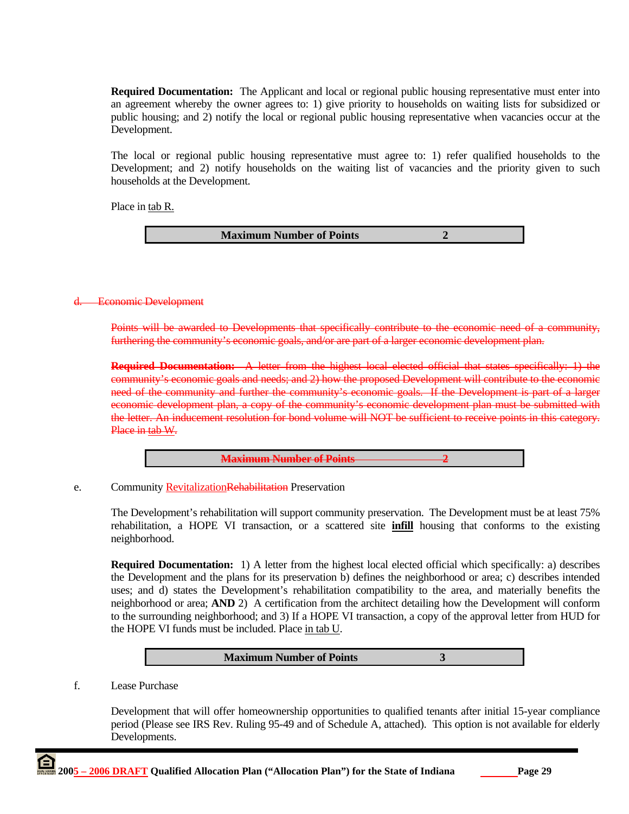**Required Documentation:** The Applicant and local or regional public housing representative must enter into an agreement whereby the owner agrees to: 1) give priority to households on waiting lists for subsidized or public housing; and 2) notify the local or regional public housing representative when vacancies occur at the Development.

The local or regional public housing representative must agree to: 1) refer qualified households to the Development; and 2) notify households on the waiting list of vacancies and the priority given to such households at the Development.

Place in tab R.

**Maximum Number of Points 2** 

# d. Economic Development

Points will be awarded to Developments that specifically contribute to the economic need of a community, furthering the community's economic goals, and/or are part of a larger economic development plan.

**Required Documentation:** A letter from the highest local elected official that states specifically: 1) the community's economic goals and needs; and 2) how the proposed Development will contribute to the economic need of the community and further the community's economic goals. If the Development is part of a larger economic development plan, a copy of the community's economic development plan must be submitted with the letter. An inducement resolution for bond volume will NOT be sufficient to receive points in this category. Place in tab W.

**Maximum Number of Points 2**

e. Community Revitalization Rehabilitation Preservation

 The Development's rehabilitation will support community preservation. The Development must be at least 75% rehabilitation, a HOPE VI transaction, or a scattered site **infill** housing that conforms to the existing neighborhood.

 **Required Documentation:** 1) A letter from the highest local elected official which specifically: a) describes the Development and the plans for its preservation b) defines the neighborhood or area; c) describes intended uses; and d) states the Development's rehabilitation compatibility to the area, and materially benefits the neighborhood or area; **AND** 2) A certification from the architect detailing how the Development will conform to the surrounding neighborhood; and 3) If a HOPE VI transaction, a copy of the approval letter from HUD for the HOPE VI funds must be included. Place in tab U.



f. Lease Purchase

Development that will offer homeownership opportunities to qualified tenants after initial 15-year compliance period (Please see IRS Rev. Ruling 95-49 and of Schedule A, attached). This option is not available for elderly Developments.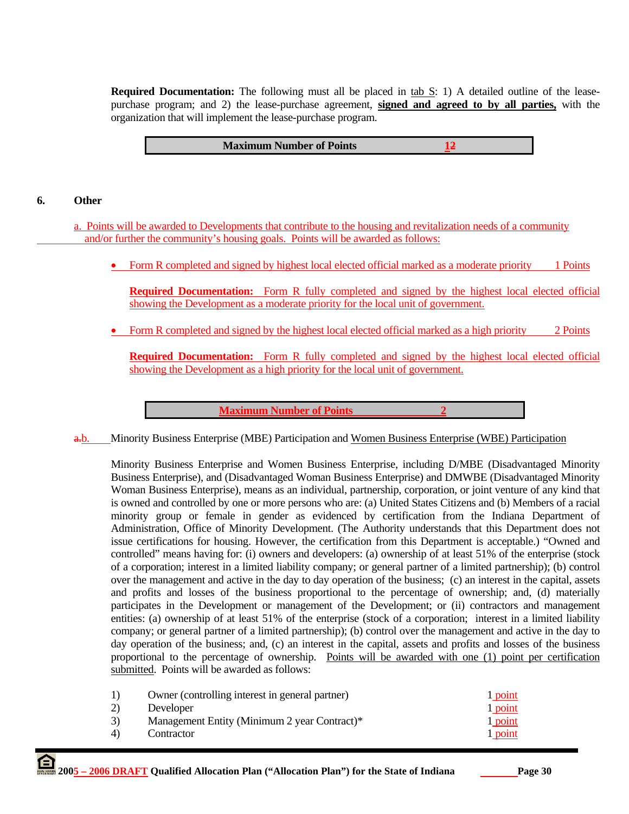**Required Documentation:** The following must all be placed in tab S: 1) A detailed outline of the leasepurchase program; and 2) the lease-purchase agreement, **signed and agreed to by all parties,** with the organization that will implement the lease-purchase program.

| <b>Maximum Number of Points</b> |
|---------------------------------|
|---------------------------------|

# **6. Other**

a. Points will be awarded to Developments that contribute to the housing and revitalization needs of a community and/or further the community's housing goals. Points will be awarded as follows:

• Form R completed and signed by highest local elected official marked as a moderate priority 1 Points

**Required Documentation:** Form R fully completed and signed by the highest local elected official showing the Development as a moderate priority for the local unit of government.

• Form R completed and signed by the highest local elected official marked as a high priority 2 Points

**Required Documentation:** Form R fully completed and signed by the highest local elected official showing the Development as a high priority for the local unit of government.

**Maximum Number of Points** 2

a.b. Minority Business Enterprise (MBE) Participation and Women Business Enterprise (WBE) Participation

Minority Business Enterprise and Women Business Enterprise, including D/MBE (Disadvantaged Minority Business Enterprise), and (Disadvantaged Woman Business Enterprise) and DMWBE (Disadvantaged Minority Woman Business Enterprise), means as an individual, partnership, corporation, or joint venture of any kind that is owned and controlled by one or more persons who are: (a) United States Citizens and (b) Members of a racial minority group or female in gender as evidenced by certification from the Indiana Department of Administration, Office of Minority Development. (The Authority understands that this Department does not issue certifications for housing. However, the certification from this Department is acceptable.) "Owned and controlled" means having for: (i) owners and developers: (a) ownership of at least 51% of the enterprise (stock of a corporation; interest in a limited liability company; or general partner of a limited partnership); (b) control over the management and active in the day to day operation of the business; (c) an interest in the capital, assets and profits and losses of the business proportional to the percentage of ownership; and, (d) materially participates in the Development or management of the Development; or (ii) contractors and management entities: (a) ownership of at least 51% of the enterprise (stock of a corporation; interest in a limited liability company; or general partner of a limited partnership); (b) control over the management and active in the day to day operation of the business; and, (c) an interest in the capital, assets and profits and losses of the business proportional to the percentage of ownership. Points will be awarded with one (1) point per certification submitted. Points will be awarded as follows:

| 1)             | Owner (controlling interest in general partner) | 1 point |
|----------------|-------------------------------------------------|---------|
| 2)             | Developer                                       | 1 point |
| 3)             | Management Entity (Minimum 2 year Contract)*    | 1 point |
| $\overline{4}$ | Contractor                                      | 1 point |
|                |                                                 |         |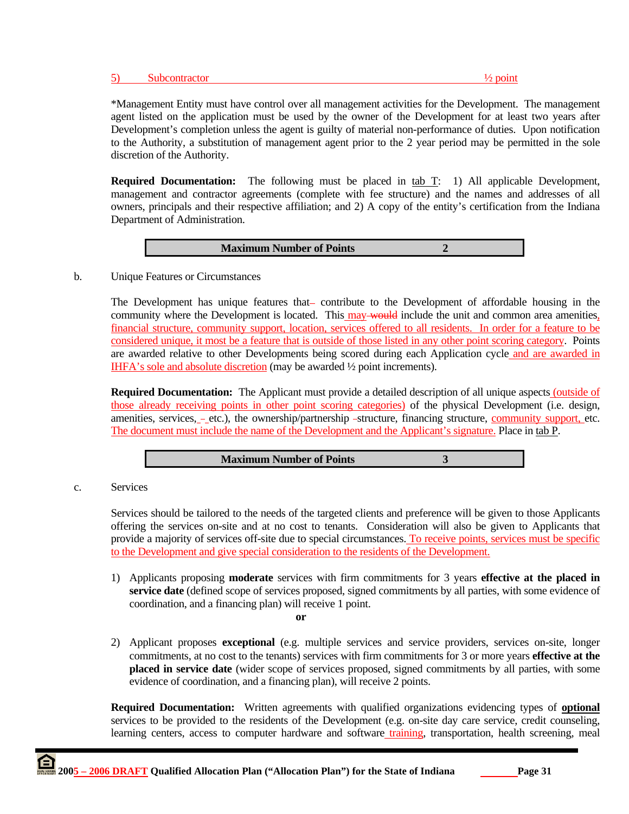### 5) Subcontractor  $\frac{1}{2}$  point

\*Management Entity must have control over all management activities for the Development. The management agent listed on the application must be used by the owner of the Development for at least two years after Development's completion unless the agent is guilty of material non-performance of duties. Upon notification to the Authority, a substitution of management agent prior to the 2 year period may be permitted in the sole discretion of the Authority.

**Required Documentation:** The following must be placed in tab T: 1) All applicable Development, management and contractor agreements (complete with fee structure) and the names and addresses of all owners, principals and their respective affiliation; and 2) A copy of the entity's certification from the Indiana Department of Administration.

| <b>Maximum Number of Points</b> |  |
|---------------------------------|--|
|---------------------------------|--|

#### b. Unique Features or Circumstances

The Development has unique features that- contribute to the Development of affordable housing in the community where the Development is located. This may would include the unit and common area amenities, financial structure, community support, location, services offered to all residents. In order for a feature to be considered unique, it most be a feature that is outside of those listed in any other point scoring category. Points are awarded relative to other Developments being scored during each Application cycle and are awarded in IHFA's sole and absolute discretion (may be awarded ½ point increments).

**Required Documentation:** The Applicant must provide a detailed description of all unique aspects (outside of those already receiving points in other point scoring categories) of the physical Development (i.e. design, amenities, services, -\_etc.), the ownership/partnership -structure, financing structure, community support, etc. The document must include the name of the Development and the Applicant's signature. Place in tab P.

|--|

c. Services

Services should be tailored to the needs of the targeted clients and preference will be given to those Applicants offering the services on-site and at no cost to tenants. Consideration will also be given to Applicants that provide a majority of services off-site due to special circumstances. To receive points, services must be specific to the Development and give special consideration to the residents of the Development.

1) Applicants proposing **moderate** services with firm commitments for 3 years **effective at the placed in service date** (defined scope of services proposed, signed commitments by all parties, with some evidence of coordination, and a financing plan) will receive 1 point. **or**

2) Applicant proposes **exceptional** (e.g. multiple services and service providers, services on-site, longer commitments, at no cost to the tenants) services with firm commitments for 3 or more years **effective at the placed in service date** (wider scope of services proposed, signed commitments by all parties, with some evidence of coordination, and a financing plan), will receive 2 points.

**Required Documentation:** Written agreements with qualified organizations evidencing types of **optional**  services to be provided to the residents of the Development (e.g. on-site day care service, credit counseling, learning centers, access to computer hardware and software *training*, transportation, health screening, meal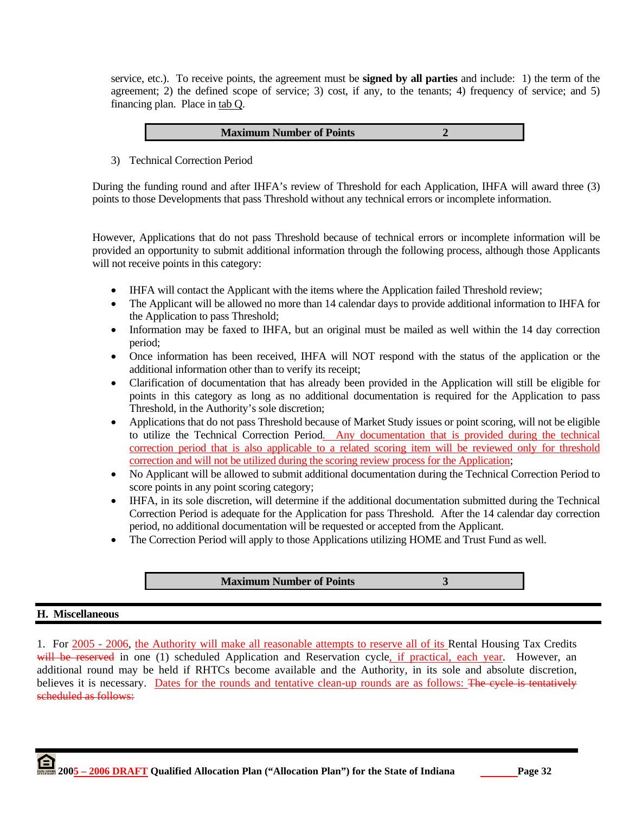service, etc.). To receive points, the agreement must be **signed by all parties** and include: 1) the term of the agreement; 2) the defined scope of service; 3) cost, if any, to the tenants; 4) frequency of service; and 5) financing plan. Place in tab Q.

| <b>Maximum Number of Points</b> |  |
|---------------------------------|--|
|---------------------------------|--|

3) Technical Correction Period

During the funding round and after IHFA's review of Threshold for each Application, IHFA will award three (3) points to those Developments that pass Threshold without any technical errors or incomplete information.

However, Applications that do not pass Threshold because of technical errors or incomplete information will be provided an opportunity to submit additional information through the following process, although those Applicants will not receive points in this category:

- IHFA will contact the Applicant with the items where the Application failed Threshold review;
- The Applicant will be allowed no more than 14 calendar days to provide additional information to IHFA for the Application to pass Threshold;
- Information may be faxed to IHFA, but an original must be mailed as well within the 14 day correction period;
- Once information has been received, IHFA will NOT respond with the status of the application or the additional information other than to verify its receipt;
- Clarification of documentation that has already been provided in the Application will still be eligible for points in this category as long as no additional documentation is required for the Application to pass Threshold, in the Authority's sole discretion;
- Applications that do not pass Threshold because of Market Study issues or point scoring, will not be eligible to utilize the Technical Correction Period. Any documentation that is provided during the technical correction period that is also applicable to a related scoring item will be reviewed only for threshold correction and will not be utilized during the scoring review process for the Application;
- No Applicant will be allowed to submit additional documentation during the Technical Correction Period to score points in any point scoring category;
- IHFA, in its sole discretion, will determine if the additional documentation submitted during the Technical Correction Period is adequate for the Application for pass Threshold. After the 14 calendar day correction period, no additional documentation will be requested or accepted from the Applicant.
- The Correction Period will apply to those Applications utilizing HOME and Trust Fund as well.

**Maximum Number of Points 3** 

**H. Miscellaneous** 

1. For 2005 - 2006, the Authority will make all reasonable attempts to reserve all of its Rental Housing Tax Credits will be reserved in one (1) scheduled Application and Reservation cycle, if practical, each year. However, an additional round may be held if RHTCs become available and the Authority, in its sole and absolute discretion, believes it is necessary. Dates for the rounds and tentative clean-up rounds are as follows: The eyele is tentatively scheduled as follows: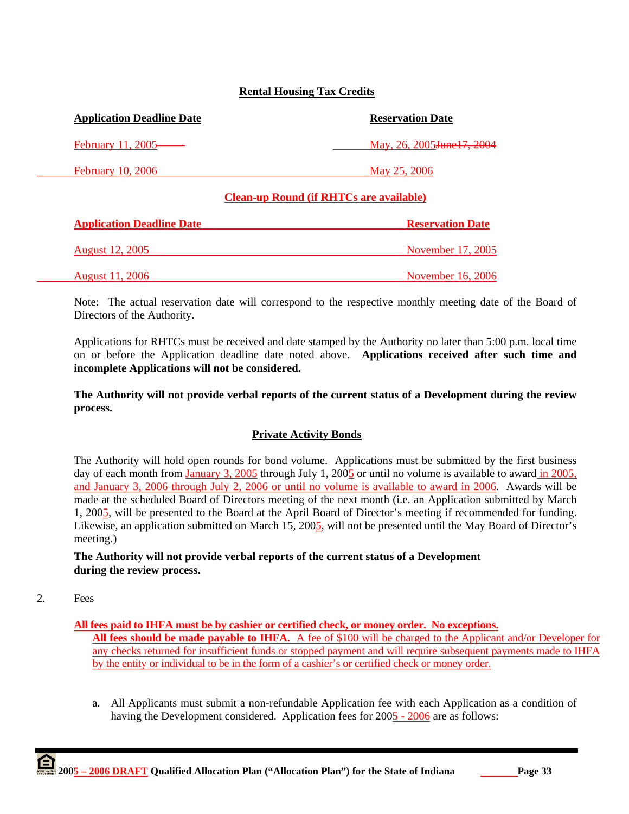# **Rental Housing Tax Credits**

| <b>Application Deadline Date</b> | <b>Reservation Date</b>                        |  |
|----------------------------------|------------------------------------------------|--|
| February 11, 2005——              | May, 26, 2005 <del>June 17, 2004</del>         |  |
| <b>February 10, 2006</b>         | May 25, 2006                                   |  |
|                                  | <b>Clean-up Round (if RHTCs are available)</b> |  |

| <b>Application Deadline Date</b> | <b>Reservation Date</b> |
|----------------------------------|-------------------------|
| <b>August 12, 2005</b>           | November 17, 2005       |
| <b>August 11, 2006</b>           | November 16, 2006       |

Note: The actual reservation date will correspond to the respective monthly meeting date of the Board of Directors of the Authority.

Applications for RHTCs must be received and date stamped by the Authority no later than 5:00 p.m. local time on or before the Application deadline date noted above. **Applications received after such time and incomplete Applications will not be considered.** 

**The Authority will not provide verbal reports of the current status of a Development during the review process.** 

### **Private Activity Bonds**

The Authority will hold open rounds for bond volume. Applications must be submitted by the first business day of each month from January 3, 2005 through July 1, 2005 or until no volume is available to award in 2005, and January 3, 2006 through July 2, 2006 or until no volume is available to award in 2006. Awards will be made at the scheduled Board of Directors meeting of the next month (i.e. an Application submitted by March 1, 2005, will be presented to the Board at the April Board of Director's meeting if recommended for funding. Likewise, an application submitted on March 15, 2005, will not be presented until the May Board of Director's meeting.)

**The Authority will not provide verbal reports of the current status of a Development during the review process.** 

2. Fees

### **All fees paid to IHFA must be by cashier or certified check, or money order. No exceptions.**

**All fees should be made payable to IHFA.** A fee of \$100 will be charged to the Applicant and/or Developer for any checks returned for insufficient funds or stopped payment and will require subsequent payments made to IHFA by the entity or individual to be in the form of a cashier's or certified check or money order.

a. All Applicants must submit a non-refundable Application fee with each Application as a condition of having the Development considered. Application fees for 2005 - 2006 are as follows: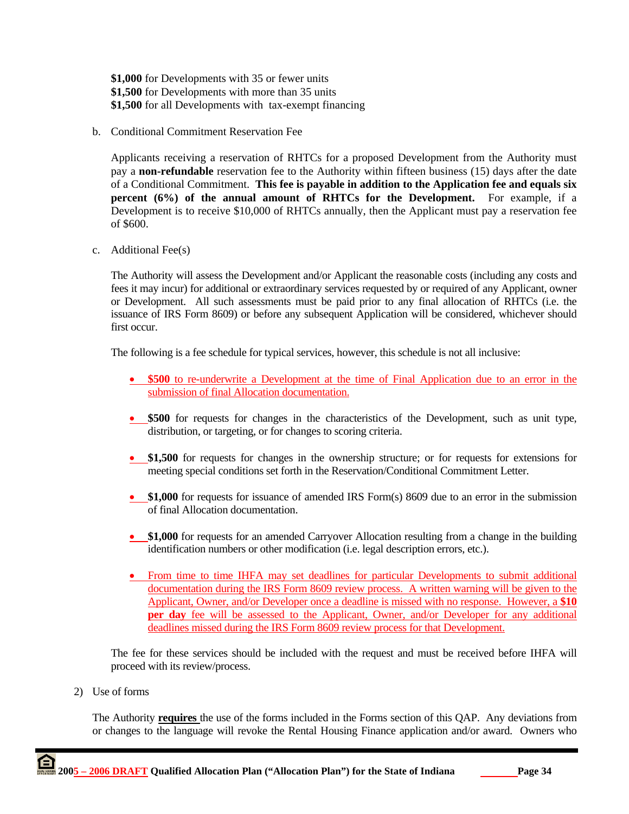**\$1,000** for Developments with 35 or fewer units **\$1,500** for Developments with more than 35 units **\$1,500** for all Developments with tax-exempt financing

b. Conditional Commitment Reservation Fee

Applicants receiving a reservation of RHTCs for a proposed Development from the Authority must pay a **non-refundable** reservation fee to the Authority within fifteen business (15) days after the date of a Conditional Commitment. **This fee is payable in addition to the Application fee and equals six percent (6%) of the annual amount of RHTCs for the Development.** For example, if a Development is to receive \$10,000 of RHTCs annually, then the Applicant must pay a reservation fee of \$600.

c. Additional Fee(s)

The Authority will assess the Development and/or Applicant the reasonable costs (including any costs and fees it may incur) for additional or extraordinary services requested by or required of any Applicant, owner or Development. All such assessments must be paid prior to any final allocation of RHTCs (i.e. the issuance of IRS Form 8609) or before any subsequent Application will be considered, whichever should first occur.

The following is a fee schedule for typical services, however, this schedule is not all inclusive:

- **\$500** to re-underwrite a Development at the time of Final Application due to an error in the submission of final Allocation documentation.
- \$500 for requests for changes in the characteristics of the Development, such as unit type, distribution, or targeting, or for changes to scoring criteria.
- **\$1,500** for requests for changes in the ownership structure; or for requests for extensions for meeting special conditions set forth in the Reservation/Conditional Commitment Letter.
- \$1,000 for requests for issuance of amended IRS Form(s) 8609 due to an error in the submission of final Allocation documentation.
- **\$1,000** for requests for an amended Carryover Allocation resulting from a change in the building identification numbers or other modification (i.e. legal description errors, etc.).
- From time to time IHFA may set deadlines for particular Developments to submit additional documentation during the IRS Form 8609 review process. A written warning will be given to the Applicant, Owner, and/or Developer once a deadline is missed with no response. However, a **\$10 per day** fee will be assessed to the Applicant, Owner, and/or Developer for any additional deadlines missed during the IRS Form 8609 review process for that Development.

The fee for these services should be included with the request and must be received before IHFA will proceed with its review/process.

2) Use of forms

The Authority **requires** the use of the forms included in the Forms section of this QAP. Any deviations from or changes to the language will revoke the Rental Housing Finance application and/or award. Owners who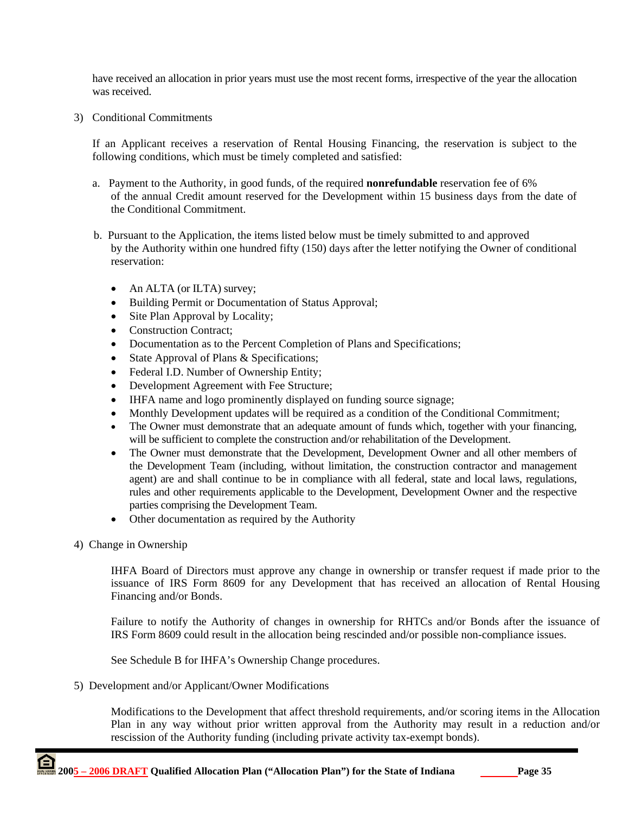have received an allocation in prior years must use the most recent forms, irrespective of the year the allocation was received.

3) Conditional Commitments

If an Applicant receives a reservation of Rental Housing Financing, the reservation is subject to the following conditions, which must be timely completed and satisfied:

- a. Payment to the Authority, in good funds, of the required **nonrefundable** reservation fee of 6% of the annual Credit amount reserved for the Development within 15 business days from the date of the Conditional Commitment.
- b. Pursuant to the Application, the items listed below must be timely submitted to and approved by the Authority within one hundred fifty (150) days after the letter notifying the Owner of conditional reservation:
	- An ALTA (or ILTA) survey;
	- Building Permit or Documentation of Status Approval;
	- Site Plan Approval by Locality;
	- Construction Contract:
	- Documentation as to the Percent Completion of Plans and Specifications;
	- State Approval of Plans & Specifications;
	- Federal I.D. Number of Ownership Entity;
	- Development Agreement with Fee Structure;
	- IHFA name and logo prominently displayed on funding source signage;
	- Monthly Development updates will be required as a condition of the Conditional Commitment;
	- The Owner must demonstrate that an adequate amount of funds which, together with your financing, will be sufficient to complete the construction and/or rehabilitation of the Development.
	- The Owner must demonstrate that the Development, Development Owner and all other members of the Development Team (including, without limitation, the construction contractor and management agent) are and shall continue to be in compliance with all federal, state and local laws, regulations, rules and other requirements applicable to the Development, Development Owner and the respective parties comprising the Development Team.
	- Other documentation as required by the Authority
- 4) Change in Ownership

IHFA Board of Directors must approve any change in ownership or transfer request if made prior to the issuance of IRS Form 8609 for any Development that has received an allocation of Rental Housing Financing and/or Bonds.

Failure to notify the Authority of changes in ownership for RHTCs and/or Bonds after the issuance of IRS Form 8609 could result in the allocation being rescinded and/or possible non-compliance issues.

See Schedule B for IHFA's Ownership Change procedures.

5) Development and/or Applicant/Owner Modifications

 Modifications to the Development that affect threshold requirements, and/or scoring items in the Allocation Plan in any way without prior written approval from the Authority may result in a reduction and/or rescission of the Authority funding (including private activity tax-exempt bonds).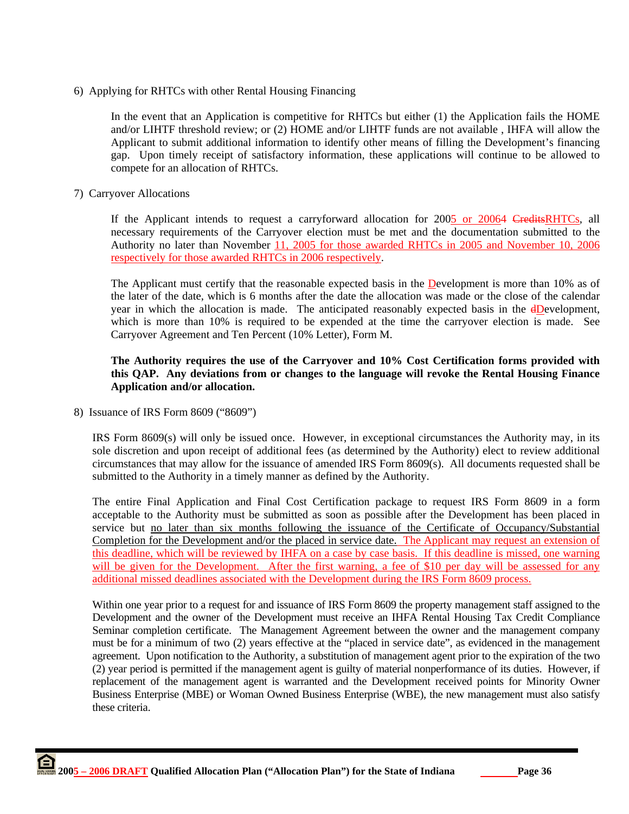6) Applying for RHTCs with other Rental Housing Financing

In the event that an Application is competitive for RHTCs but either (1) the Application fails the HOME and/or LIHTF threshold review; or (2) HOME and/or LIHTF funds are not available , IHFA will allow the Applicant to submit additional information to identify other means of filling the Development's financing gap. Upon timely receipt of satisfactory information, these applications will continue to be allowed to compete for an allocation of RHTCs.

7) Carryover Allocations

If the Applicant intends to request a carryforward allocation for 2005 or 20064 CreditsRHTCs, all necessary requirements of the Carryover election must be met and the documentation submitted to the Authority no later than November 11, 2005 for those awarded RHTCs in 2005 and November 10, 2006 respectively for those awarded RHTCs in 2006 respectively.

The Applicant must certify that the reasonable expected basis in the Development is more than 10% as of the later of the date, which is 6 months after the date the allocation was made or the close of the calendar year in which the allocation is made. The anticipated reasonably expected basis in the  $dD$ evelopment, which is more than 10% is required to be expended at the time the carryover election is made. See Carryover Agreement and Ten Percent (10% Letter), Form M.

# **The Authority requires the use of the Carryover and 10% Cost Certification forms provided with this QAP. Any deviations from or changes to the language will revoke the Rental Housing Finance Application and/or allocation.**

8) Issuance of IRS Form 8609 ("8609")

IRS Form 8609(s) will only be issued once. However, in exceptional circumstances the Authority may, in its sole discretion and upon receipt of additional fees (as determined by the Authority) elect to review additional circumstances that may allow for the issuance of amended IRS Form 8609(s). All documents requested shall be submitted to the Authority in a timely manner as defined by the Authority.

The entire Final Application and Final Cost Certification package to request IRS Form 8609 in a form acceptable to the Authority must be submitted as soon as possible after the Development has been placed in service but no later than six months following the issuance of the Certificate of Occupancy/Substantial Completion for the Development and/or the placed in service date. The Applicant may request an extension of this deadline, which will be reviewed by IHFA on a case by case basis. If this deadline is missed, one warning will be given for the Development. After the first warning, a fee of \$10 per day will be assessed for any additional missed deadlines associated with the Development during the IRS Form 8609 process.

Within one year prior to a request for and issuance of IRS Form 8609 the property management staff assigned to the Development and the owner of the Development must receive an IHFA Rental Housing Tax Credit Compliance Seminar completion certificate. The Management Agreement between the owner and the management company must be for a minimum of two (2) years effective at the "placed in service date", as evidenced in the management agreement. Upon notification to the Authority, a substitution of management agent prior to the expiration of the two (2) year period is permitted if the management agent is guilty of material nonperformance of its duties. However, if replacement of the management agent is warranted and the Development received points for Minority Owner Business Enterprise (MBE) or Woman Owned Business Enterprise (WBE), the new management must also satisfy these criteria.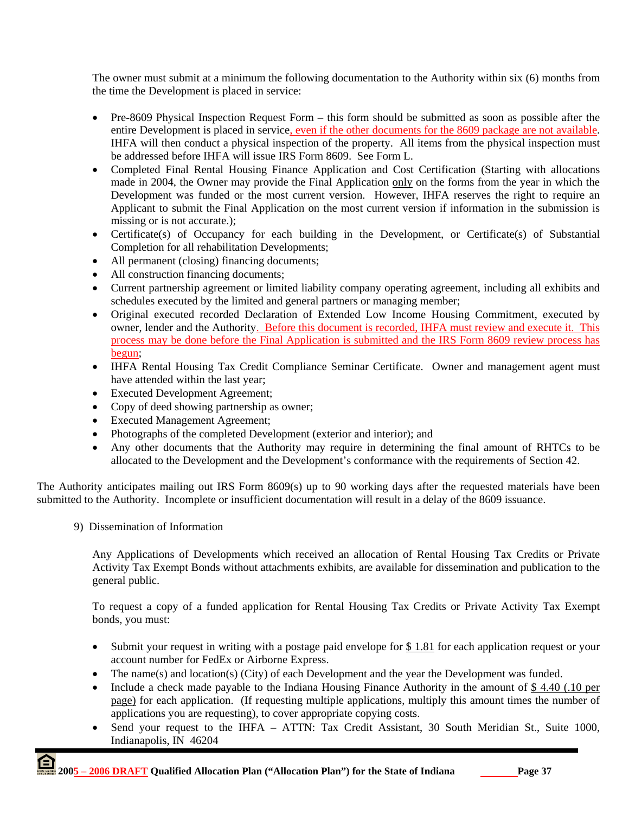The owner must submit at a minimum the following documentation to the Authority within six (6) months from the time the Development is placed in service:

- Pre-8609 Physical Inspection Request Form this form should be submitted as soon as possible after the entire Development is placed in service, even if the other documents for the 8609 package are not available. IHFA will then conduct a physical inspection of the property. All items from the physical inspection must be addressed before IHFA will issue IRS Form 8609. See Form L.
- Completed Final Rental Housing Finance Application and Cost Certification (Starting with allocations made in 2004, the Owner may provide the Final Application only on the forms from the year in which the Development was funded or the most current version. However, IHFA reserves the right to require an Applicant to submit the Final Application on the most current version if information in the submission is missing or is not accurate.);
- Certificate(s) of Occupancy for each building in the Development, or Certificate(s) of Substantial Completion for all rehabilitation Developments;
- All permanent (closing) financing documents;
- All construction financing documents;
- Current partnership agreement or limited liability company operating agreement, including all exhibits and schedules executed by the limited and general partners or managing member;
- Original executed recorded Declaration of Extended Low Income Housing Commitment, executed by owner, lender and the Authority. Before this document is recorded, IHFA must review and execute it. This process may be done before the Final Application is submitted and the IRS Form 8609 review process has begun;
- IHFA Rental Housing Tax Credit Compliance Seminar Certificate. Owner and management agent must have attended within the last year;
- Executed Development Agreement;
- Copy of deed showing partnership as owner;
- Executed Management Agreement;
- Photographs of the completed Development (exterior and interior); and
- Any other documents that the Authority may require in determining the final amount of RHTCs to be allocated to the Development and the Development's conformance with the requirements of Section 42.

The Authority anticipates mailing out IRS Form 8609(s) up to 90 working days after the requested materials have been submitted to the Authority. Incomplete or insufficient documentation will result in a delay of the 8609 issuance.

9) Dissemination of Information

Any Applications of Developments which received an allocation of Rental Housing Tax Credits or Private Activity Tax Exempt Bonds without attachments exhibits, are available for dissemination and publication to the general public.

To request a copy of a funded application for Rental Housing Tax Credits or Private Activity Tax Exempt bonds, you must:

- Submit your request in writing with a postage paid envelope for \$1.81 for each application request or your account number for FedEx or Airborne Express.
- The name(s) and location(s) (City) of each Development and the year the Development was funded.
- Include a check made payable to the Indiana Housing Finance Authority in the amount of \$4.40 (.10 per page) for each application. (If requesting multiple applications, multiply this amount times the number of applications you are requesting), to cover appropriate copying costs.
- Send your request to the IHFA ATTN: Tax Credit Assistant, 30 South Meridian St., Suite 1000, Indianapolis, IN 46204